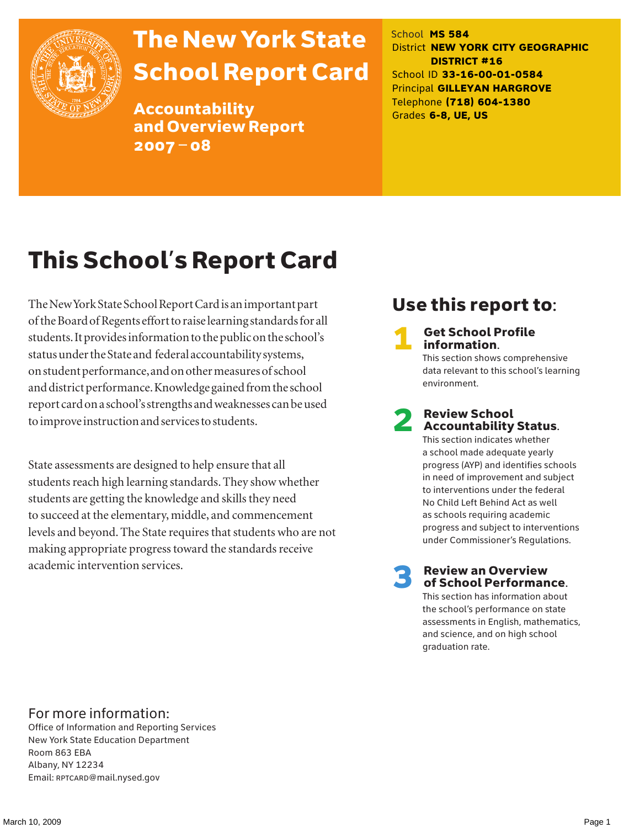

# The New York State School Report Card

Accountability and Overview Report 2007–08

School **MS 584** District **NEW YORK CITY GEOGRAPHIC DISTRICT #16** School ID **33-16-00-01-0584** Principal **GILLEYAN HARGROVE** Telephone **(718) 604-1380** Grades **6-8, UE, US**

# This School's Report Card

The New York State School Report Card is an important part of the Board of Regents effort to raise learning standards for all students. It provides information to the public on the school's status under the State and federal accountability systems, on student performance, and on other measures of school and district performance. Knowledge gained from the school report card on a school's strengths and weaknesses can be used to improve instruction and services to students.

State assessments are designed to help ensure that all students reach high learning standards. They show whether students are getting the knowledge and skills they need to succeed at the elementary, middle, and commencement levels and beyond. The State requires that students who are not making appropriate progress toward the standards receive academic intervention services.

### Use this report to:

**Get School Profile** information.

This section shows comprehensive data relevant to this school's learning environment.

# 2 Review School Accountability Status.

This section indicates whether a school made adequate yearly progress (AYP) and identifies schools in need of improvement and subject to interventions under the federal No Child Left Behind Act as well as schools requiring academic progress and subject to interventions under Commissioner's Regulations.

**Review an Overview** of School Performance.

This section has information about the school's performance on state assessments in English, mathematics, and science, and on high school graduation rate.

### For more information:

Office of Information and Reporting Services New York State Education Department Room 863 EBA Albany, NY 12234 Email: RPTCARD@mail.nysed.gov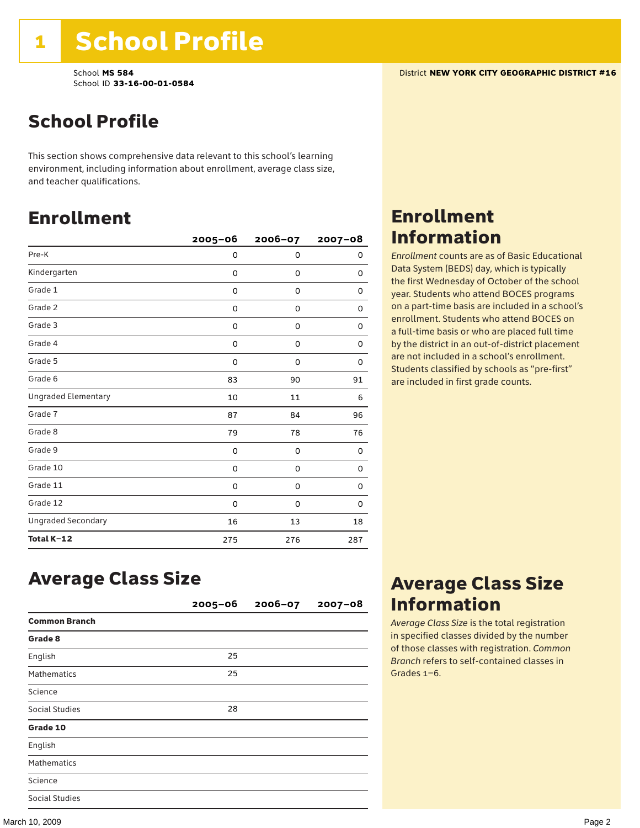School **MS 584** District **NEW YORK CITY GEOGRAPHIC DISTRICT #16** School ID **33-16-00-01-0584**

This section shows comprehensive data relevant to this school's learning environment, including information about enrollment, average class size, and teacher qualifications.

## Enrollment

|                            | $2005 - 06$ | 2006-07     | $2007 - 08$ |
|----------------------------|-------------|-------------|-------------|
| Pre-K                      | 0           | $\mathbf 0$ | 0           |
| Kindergarten               | 0           | 0           | 0           |
| Grade 1                    | 0           | 0           | 0           |
| Grade 2                    | 0           | 0           | 0           |
| Grade 3                    | 0           | 0           | 0           |
| Grade 4                    | 0           | 0           | 0           |
| Grade 5                    | 0           | 0           | 0           |
| Grade 6                    | 83          | 90          | 91          |
| <b>Ungraded Elementary</b> | 10          | 11          | 6           |
| Grade 7                    | 87          | 84          | 96          |
| Grade 8                    | 79          | 78          | 76          |
| Grade 9                    | 0           | 0           | 0           |
| Grade 10                   | 0           | 0           | 0           |
| Grade 11                   | 0           | 0           | 0           |
| Grade 12                   | 0           | 0           | 0           |
| <b>Ungraded Secondary</b>  | 16          | 13          | 18          |
| Total K-12                 | 275         | 276         | 287         |

### Enrollment Information

*Enrollment* counts are as of Basic Educational Data System (BEDS) day, which is typically the first Wednesday of October of the school year. Students who attend BOCES programs on a part-time basis are included in a school's enrollment. Students who attend BOCES on a full-time basis or who are placed full time by the district in an out-of-district placement are not included in a school's enrollment. Students classified by schools as "pre-first" are included in first grade counts.

### Average Class Size

|                       | $2005 - 06$ | $2006 - 07$ | $2007 - 08$ |
|-----------------------|-------------|-------------|-------------|
| <b>Common Branch</b>  |             |             |             |
| Grade 8               |             |             |             |
| English               | 25          |             |             |
| <b>Mathematics</b>    | 25          |             |             |
| Science               |             |             |             |
| <b>Social Studies</b> | 28          |             |             |
| Grade 10              |             |             |             |
| English               |             |             |             |
| <b>Mathematics</b>    |             |             |             |
| Science               |             |             |             |
| <b>Social Studies</b> |             |             |             |

### Average Class Size Information

*Average Class Size* is the total registration in specified classes divided by the number of those classes with registration. *Common Branch* refers to self-contained classes in Grades 1–6.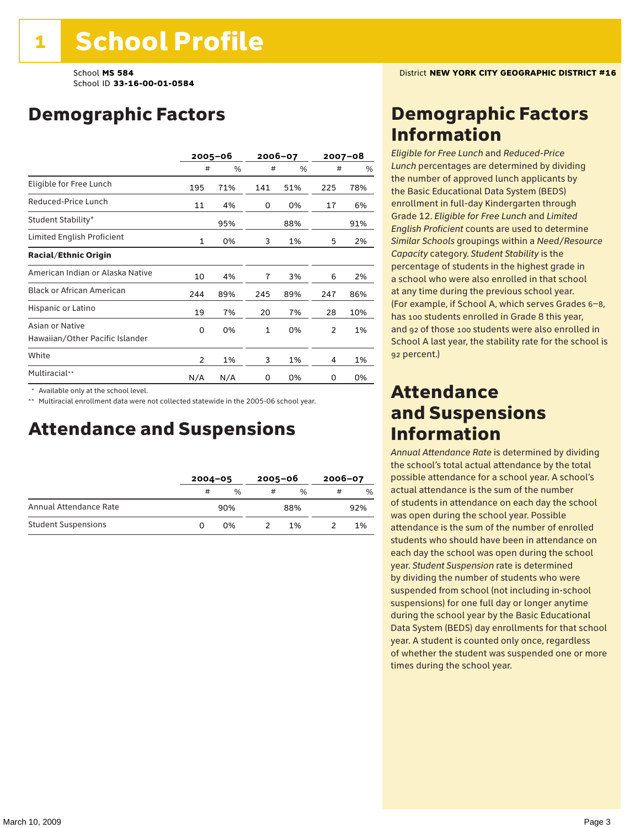## Demographic Factors

|                                                    |                | $2005 - 06$ |                | 2006-07 |     | $2007 - 08$ |
|----------------------------------------------------|----------------|-------------|----------------|---------|-----|-------------|
|                                                    | #              | %           | #              | %       | #   | $\%$        |
| Eligible for Free Lunch                            | 195            | 71%         | 141            | 51%     | 225 | 78%         |
| Reduced-Price Lunch                                | 11             | 4%          | 0              | 0%      | 17  | 6%          |
| Student Stability*                                 |                | 95%         |                | 88%     |     | 91%         |
| Limited English Proficient                         | $\mathbf 1$    | 0%          | 3              | 1%      | 5   | 2%          |
| <b>Racial/Ethnic Origin</b>                        |                |             |                |         |     |             |
| American Indian or Alaska Native                   | 10             | 4%          | $\overline{1}$ | 3%      | 6   | 2%          |
| <b>Black or African American</b>                   | 244            | 89%         | 245            | 89%     | 247 | 86%         |
| Hispanic or Latino                                 | 19             | 7%          | 20             | 7%      | 28  | 10%         |
| Asian or Native<br>Hawaiian/Other Pacific Islander | 0              | 0%          | 1              | 0%      | 2   | 1%          |
| White                                              | $\overline{2}$ | 1%          | 3              | 1%      | 4   | 1%          |
| Multiracial**                                      | N/A            | N/A         | 0              | 0%      | 0   | 0%          |

\* Available only at the school level.

\*\* Multiracial enrollment data were not collected statewide in the 2005-06 school year.

### Attendance and Suspensions

|                            |   | $2004 - 05$ |   | $2005 - 06$   |   | $2006 - 07$   |  |
|----------------------------|---|-------------|---|---------------|---|---------------|--|
|                            | # | %           | # | $\frac{0}{6}$ | # | $\frac{0}{0}$ |  |
| Annual Attendance Rate     |   | 90%         |   | 88%           |   | 92%           |  |
| <b>Student Suspensions</b> | O | 0%          |   | 1%            |   | 1%            |  |

### Demographic Factors Information

*Eligible for Free Lunch* and *Reduced*-*Price Lunch* percentages are determined by dividing the number of approved lunch applicants by the Basic Educational Data System (BEDS) enrollment in full-day Kindergarten through Grade 12. *Eligible for Free Lunch* and *Limited English Proficient* counts are used to determine *Similar Schools* groupings within a *Need*/*Resource Capacity* category. *Student Stability* is the percentage of students in the highest grade in a school who were also enrolled in that school at any time during the previous school year. (For example, if School A, which serves Grades 6–8, has 100 students enrolled in Grade 8 this year, and 92 of those 100 students were also enrolled in School A last year, the stability rate for the school is 92 percent.)

### Attendance and Suspensions Information

*Annual Attendance Rate* is determined by dividing the school's total actual attendance by the total possible attendance for a school year. A school's actual attendance is the sum of the number of students in attendance on each day the school was open during the school year. Possible attendance is the sum of the number of enrolled students who should have been in attendance on each day the school was open during the school year. *Student Suspension* rate is determined by dividing the number of students who were suspended from school (not including in-school suspensions) for one full day or longer anytime during the school year by the Basic Educational Data System (BEDS) day enrollments for that school year. A student is counted only once, regardless of whether the student was suspended one or more times during the school year.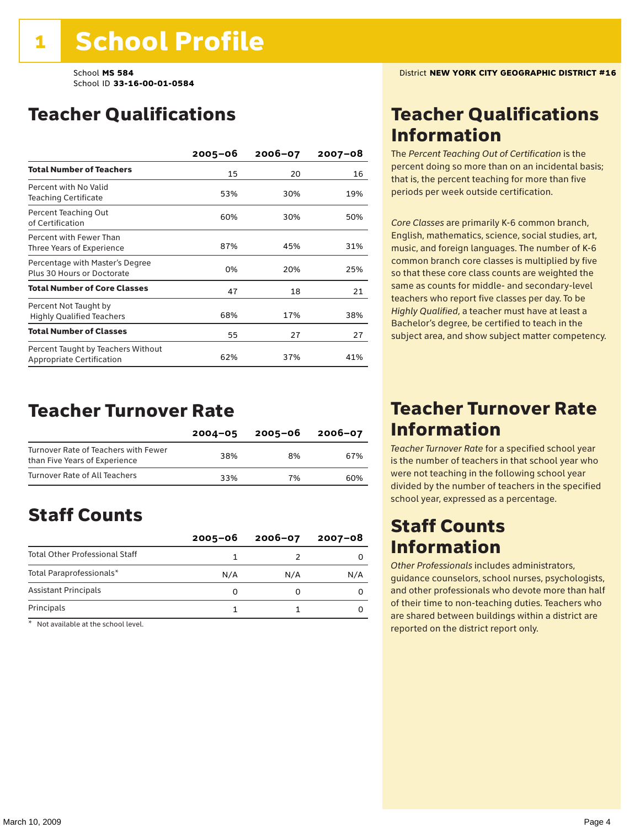## Teacher Qualifications

|                                                                 | $2005 - 06$ | 2006-07 | $2007 - 08$ |
|-----------------------------------------------------------------|-------------|---------|-------------|
| <b>Total Number of Teachers</b>                                 | 15          | 20      | 16          |
| Percent with No Valid<br><b>Teaching Certificate</b>            | 53%         | 30%     | 19%         |
| Percent Teaching Out<br>of Certification                        | 60%         | 30%     | 50%         |
| Percent with Fewer Than<br>Three Years of Experience            | 87%         | 45%     | 31%         |
| Percentage with Master's Degree<br>Plus 30 Hours or Doctorate   | 0%          | 20%     | 25%         |
| <b>Total Number of Core Classes</b>                             | 47          | 18      | 21          |
| Percent Not Taught by<br><b>Highly Qualified Teachers</b>       | 68%         | 17%     | 38%         |
| <b>Total Number of Classes</b>                                  | 55          | 27      | 27          |
| Percent Taught by Teachers Without<br>Appropriate Certification | 62%         | 37%     | 41%         |

### Teacher Turnover Rate

|                                                                       | $2004 - 05$ | 2005-06 | $2006 - 07$ |
|-----------------------------------------------------------------------|-------------|---------|-------------|
| Turnover Rate of Teachers with Fewer<br>than Five Years of Experience | 38%         | 8%      | 67%         |
| Turnover Rate of All Teachers                                         | 33%         | 7%      | 60%         |

## Staff Counts

|                                       | $2005 - 06$ | $2006 - 07$ | $2007 - 08$ |
|---------------------------------------|-------------|-------------|-------------|
| <b>Total Other Professional Staff</b> |             |             |             |
| Total Paraprofessionals*              | N/A         | N/A         | N/A         |
| <b>Assistant Principals</b>           |             |             |             |
| Principals                            |             |             |             |

\* Not available at the school level.

### Teacher Qualifications Information

The *Percent Teaching Out of Certification* is the percent doing so more than on an incidental basis; that is, the percent teaching for more than five periods per week outside certification.

*Core Classes* are primarily K-6 common branch, English, mathematics, science, social studies, art, music, and foreign languages. The number of K-6 common branch core classes is multiplied by five so that these core class counts are weighted the same as counts for middle- and secondary-level teachers who report five classes per day. To be *Highly Qualified*, a teacher must have at least a Bachelor's degree, be certified to teach in the subject area, and show subject matter competency.

### Teacher Turnover Rate Information

*Teacher Turnover Rate* for a specified school year is the number of teachers in that school year who were not teaching in the following school year divided by the number of teachers in the specified school year, expressed as a percentage.

### Staff Counts Information

*Other Professionals* includes administrators, guidance counselors, school nurses, psychologists, and other professionals who devote more than half of their time to non-teaching duties. Teachers who are shared between buildings within a district are reported on the district report only.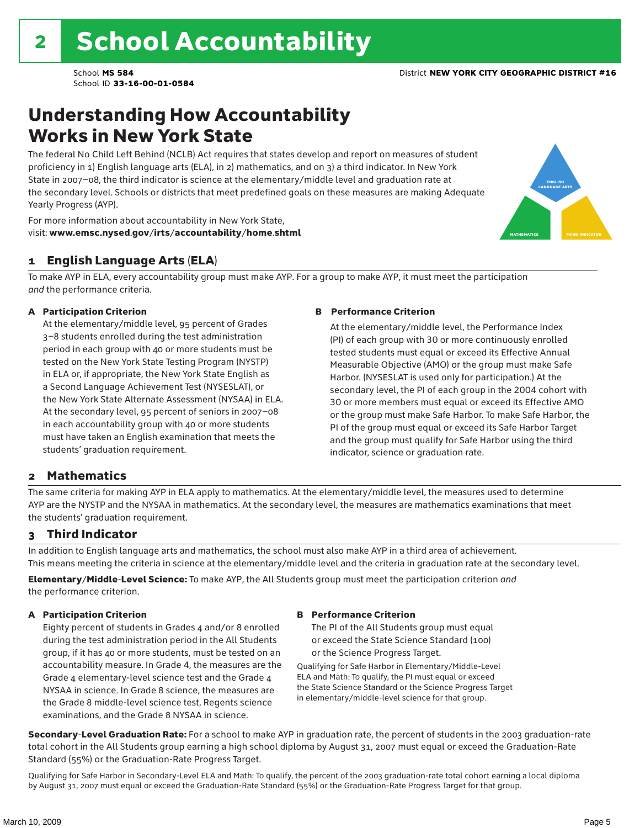### Understanding How Accountability Works in New York State

The federal No Child Left Behind (NCLB) Act requires that states develop and report on measures of student proficiency in 1) English language arts (ELA), in 2) mathematics, and on 3) a third indicator. In New York State in 2007–08, the third indicator is science at the elementary/middle level and graduation rate at the secondary level. Schools or districts that meet predefined goals on these measures are making Adequate Yearly Progress (AYP).



For more information about accountability in New York State, visit: www.emsc.nysed.gov/irts/accountability/home.shtml

#### 1 English Language Arts (ELA)

To make AYP in ELA, every accountability group must make AYP. For a group to make AYP, it must meet the participation *and* the performance criteria.

#### A Participation Criterion

At the elementary/middle level, 95 percent of Grades 3–8 students enrolled during the test administration period in each group with 40 or more students must be tested on the New York State Testing Program (NYSTP) in ELA or, if appropriate, the New York State English as a Second Language Achievement Test (NYSESLAT), or the New York State Alternate Assessment (NYSAA) in ELA. At the secondary level, 95 percent of seniors in 2007–08 in each accountability group with 40 or more students must have taken an English examination that meets the students' graduation requirement.

#### B Performance Criterion

At the elementary/middle level, the Performance Index (PI) of each group with 30 or more continuously enrolled tested students must equal or exceed its Effective Annual Measurable Objective (AMO) or the group must make Safe Harbor. (NYSESLAT is used only for participation.) At the secondary level, the PI of each group in the 2004 cohort with 30 or more members must equal or exceed its Effective AMO or the group must make Safe Harbor. To make Safe Harbor, the PI of the group must equal or exceed its Safe Harbor Target and the group must qualify for Safe Harbor using the third indicator, science or graduation rate.

#### 2 Mathematics

The same criteria for making AYP in ELA apply to mathematics. At the elementary/middle level, the measures used to determine AYP are the NYSTP and the NYSAA in mathematics. At the secondary level, the measures are mathematics examinations that meet the students' graduation requirement.

#### 3 Third Indicator

In addition to English language arts and mathematics, the school must also make AYP in a third area of achievement. This means meeting the criteria in science at the elementary/middle level and the criteria in graduation rate at the secondary level.

Elementary/Middle-Level Science: To make AYP, the All Students group must meet the participation criterion *and* the performance criterion.

#### A Participation Criterion

Eighty percent of students in Grades 4 and/or 8 enrolled during the test administration period in the All Students group, if it has 40 or more students, must be tested on an accountability measure. In Grade 4, the measures are the Grade 4 elementary-level science test and the Grade 4 NYSAA in science. In Grade 8 science, the measures are the Grade 8 middle-level science test, Regents science examinations, and the Grade 8 NYSAA in science.

#### B Performance Criterion

The PI of the All Students group must equal or exceed the State Science Standard (100) or the Science Progress Target.

Qualifying for Safe Harbor in Elementary/Middle-Level ELA and Math: To qualify, the PI must equal or exceed the State Science Standard or the Science Progress Target in elementary/middle-level science for that group.

Secondary-Level Graduation Rate: For a school to make AYP in graduation rate, the percent of students in the 2003 graduation-rate total cohort in the All Students group earning a high school diploma by August 31, 2007 must equal or exceed the Graduation-Rate Standard (55%) or the Graduation-Rate Progress Target.

Qualifying for Safe Harbor in Secondary-Level ELA and Math: To qualify, the percent of the 2003 graduation-rate total cohort earning a local diploma by August 31, 2007 must equal or exceed the Graduation-Rate Standard (55%) or the Graduation-Rate Progress Target for that group.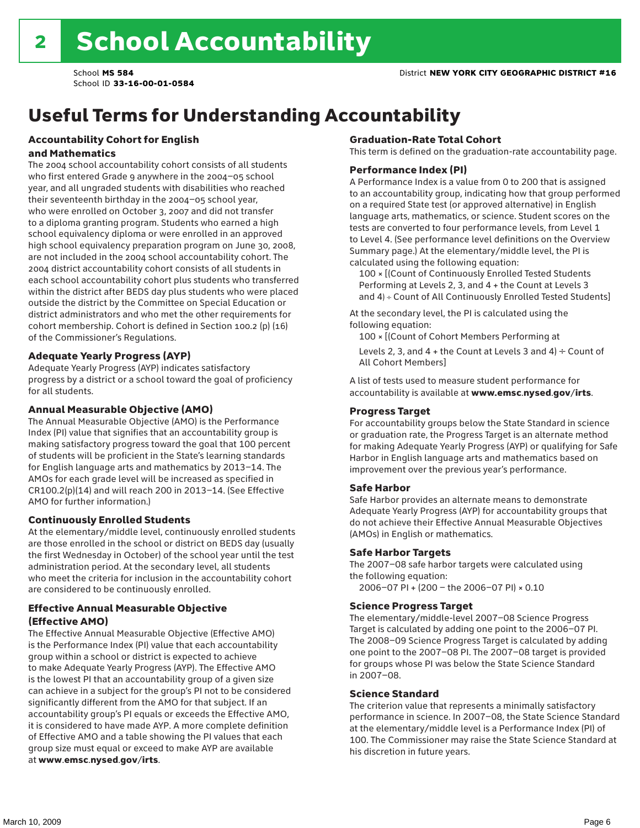## Useful Terms for Understanding Accountability

#### Accountability Cohort for English and Mathematics

The 2004 school accountability cohort consists of all students who first entered Grade 9 anywhere in the 2004–05 school year, and all ungraded students with disabilities who reached their seventeenth birthday in the 2004–05 school year, who were enrolled on October 3, 2007 and did not transfer to a diploma granting program. Students who earned a high school equivalency diploma or were enrolled in an approved high school equivalency preparation program on June 30, 2008, are not included in the 2004 school accountability cohort. The 2004 district accountability cohort consists of all students in each school accountability cohort plus students who transferred within the district after BEDS day plus students who were placed outside the district by the Committee on Special Education or district administrators and who met the other requirements for cohort membership. Cohort is defined in Section 100.2 (p) (16) of the Commissioner's Regulations.

#### Adequate Yearly Progress (AYP)

Adequate Yearly Progress (AYP) indicates satisfactory progress by a district or a school toward the goal of proficiency for all students.

#### Annual Measurable Objective (AMO)

The Annual Measurable Objective (AMO) is the Performance Index (PI) value that signifies that an accountability group is making satisfactory progress toward the goal that 100 percent of students will be proficient in the State's learning standards for English language arts and mathematics by 2013–14. The AMOs for each grade level will be increased as specified in CR100.2(p)(14) and will reach 200 in 2013–14. (See Effective AMO for further information.)

#### Continuously Enrolled Students

At the elementary/middle level, continuously enrolled students are those enrolled in the school or district on BEDS day (usually the first Wednesday in October) of the school year until the test administration period. At the secondary level, all students who meet the criteria for inclusion in the accountability cohort are considered to be continuously enrolled.

#### Effective Annual Measurable Objective (Effective AMO)

The Effective Annual Measurable Objective (Effective AMO) is the Performance Index (PI) value that each accountability group within a school or district is expected to achieve to make Adequate Yearly Progress (AYP). The Effective AMO is the lowest PI that an accountability group of a given size can achieve in a subject for the group's PI not to be considered significantly different from the AMO for that subject. If an accountability group's PI equals or exceeds the Effective AMO, it is considered to have made AYP. A more complete definition of Effective AMO and a table showing the PI values that each group size must equal or exceed to make AYP are available at www.emsc.nysed.gov/irts.

#### Graduation-Rate Total Cohort

This term is defined on the graduation-rate accountability page.

#### Performance Index (PI)

A Performance Index is a value from 0 to 200 that is assigned to an accountability group, indicating how that group performed on a required State test (or approved alternative) in English language arts, mathematics, or science. Student scores on the tests are converted to four performance levels, from Level 1 to Level 4. (See performance level definitions on the Overview Summary page.) At the elementary/middle level, the PI is calculated using the following equation:

100 × [(Count of Continuously Enrolled Tested Students Performing at Levels 2, 3, and 4 + the Count at Levels 3 and 4) ÷ Count of All Continuously Enrolled Tested Students]

At the secondary level, the PI is calculated using the following equation:

100 × [(Count of Cohort Members Performing at

Levels 2, 3, and 4 + the Count at Levels 3 and 4)  $\div$  Count of All Cohort Members]

A list of tests used to measure student performance for accountability is available at www.emsc.nysed.gov/irts.

#### Progress Target

For accountability groups below the State Standard in science or graduation rate, the Progress Target is an alternate method for making Adequate Yearly Progress (AYP) or qualifying for Safe Harbor in English language arts and mathematics based on improvement over the previous year's performance.

#### Safe Harbor

Safe Harbor provides an alternate means to demonstrate Adequate Yearly Progress (AYP) for accountability groups that do not achieve their Effective Annual Measurable Objectives (AMOs) in English or mathematics.

#### Safe Harbor Targets

The 2007–08 safe harbor targets were calculated using the following equation:

2006–07 PI + (200 – the 2006–07 PI) × 0.10

#### Science Progress Target

The elementary/middle-level 2007–08 Science Progress Target is calculated by adding one point to the 2006–07 PI. The 2008–09 Science Progress Target is calculated by adding one point to the 2007–08 PI. The 2007–08 target is provided for groups whose PI was below the State Science Standard in 2007–08.

#### Science Standard

The criterion value that represents a minimally satisfactory performance in science. In 2007–08, the State Science Standard at the elementary/middle level is a Performance Index (PI) of 100. The Commissioner may raise the State Science Standard at his discretion in future years.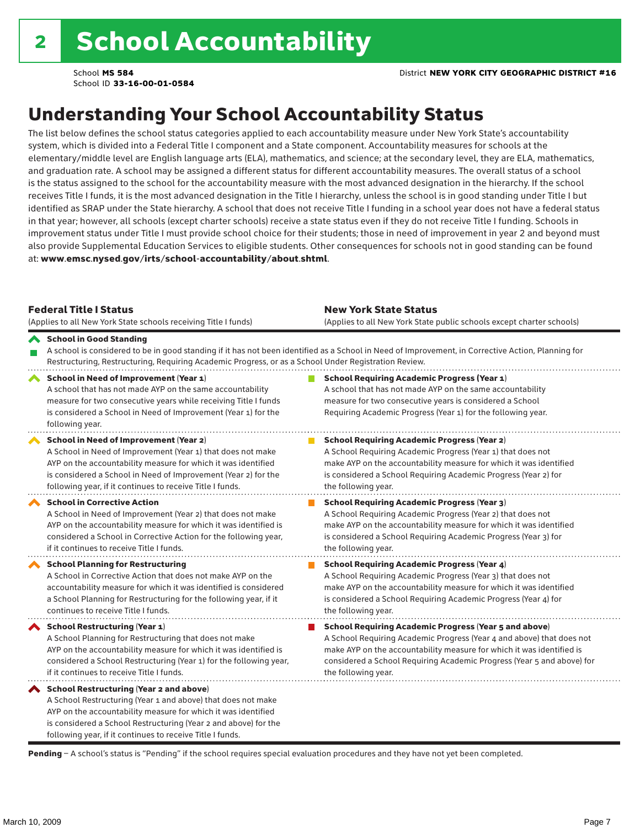## Understanding Your School Accountability Status

The list below defines the school status categories applied to each accountability measure under New York State's accountability system, which is divided into a Federal Title I component and a State component. Accountability measures for schools at the elementary/middle level are English language arts (ELA), mathematics, and science; at the secondary level, they are ELA, mathematics, and graduation rate. A school may be assigned a different status for different accountability measures. The overall status of a school is the status assigned to the school for the accountability measure with the most advanced designation in the hierarchy. If the school receives Title I funds, it is the most advanced designation in the Title I hierarchy, unless the school is in good standing under Title I but identified as SRAP under the State hierarchy. A school that does not receive Title I funding in a school year does not have a federal status in that year; however, all schools (except charter schools) receive a state status even if they do not receive Title I funding. Schools in improvement status under Title I must provide school choice for their students; those in need of improvement in year 2 and beyond must also provide Supplemental Education Services to eligible students. Other consequences for schools not in good standing can be found at: www.emsc.nysed.gov/irts/school-accountability/about.shtml.

| <b>Federal Title I Status</b><br>(Applies to all New York State schools receiving Title I funds)                                                                                                                                                                                                                | <b>New York State Status</b><br>(Applies to all New York State public schools except charter schools) |                                                                                                                                                                                                                                                                                                                 |  |  |  |
|-----------------------------------------------------------------------------------------------------------------------------------------------------------------------------------------------------------------------------------------------------------------------------------------------------------------|-------------------------------------------------------------------------------------------------------|-----------------------------------------------------------------------------------------------------------------------------------------------------------------------------------------------------------------------------------------------------------------------------------------------------------------|--|--|--|
| School in Good Standing<br>Restructuring, Restructuring, Requiring Academic Progress, or as a School Under Registration Review.                                                                                                                                                                                 |                                                                                                       | A school is considered to be in good standing if it has not been identified as a School in Need of Improvement, in Corrective Action, Planning for                                                                                                                                                              |  |  |  |
| School in Need of Improvement (Year 1)<br>A school that has not made AYP on the same accountability<br>measure for two consecutive years while receiving Title I funds<br>is considered a School in Need of Improvement (Year 1) for the<br>following year.                                                     |                                                                                                       | <b>School Requiring Academic Progress (Year 1)</b><br>A school that has not made AYP on the same accountability<br>measure for two consecutive years is considered a School<br>Requiring Academic Progress (Year 1) for the following year.                                                                     |  |  |  |
| School in Need of Improvement (Year 2)<br>A School in Need of Improvement (Year 1) that does not make<br>AYP on the accountability measure for which it was identified<br>is considered a School in Need of Improvement (Year 2) for the<br>following year, if it continues to receive Title I funds.           |                                                                                                       | <b>School Requiring Academic Progress (Year 2)</b><br>A School Requiring Academic Progress (Year 1) that does not<br>make AYP on the accountability measure for which it was identified<br>is considered a School Requiring Academic Progress (Year 2) for<br>the following year.                               |  |  |  |
| <b>School in Corrective Action</b><br>A School in Need of Improvement (Year 2) that does not make<br>AYP on the accountability measure for which it was identified is<br>considered a School in Corrective Action for the following year,<br>if it continues to receive Title I funds.                          |                                                                                                       | <b>School Requiring Academic Progress (Year 3)</b><br>A School Requiring Academic Progress (Year 2) that does not<br>make AYP on the accountability measure for which it was identified<br>is considered a School Requiring Academic Progress (Year 3) for<br>the following year.                               |  |  |  |
| <b>School Planning for Restructuring</b><br>A School in Corrective Action that does not make AYP on the<br>accountability measure for which it was identified is considered<br>a School Planning for Restructuring for the following year, if it<br>continues to receive Title I funds.                         |                                                                                                       | <b>School Requiring Academic Progress (Year 4)</b><br>A School Requiring Academic Progress (Year 3) that does not<br>make AYP on the accountability measure for which it was identified<br>is considered a School Requiring Academic Progress (Year 4) for<br>the following year.                               |  |  |  |
| <b>School Restructuring (Year 1)</b><br>A School Planning for Restructuring that does not make<br>AYP on the accountability measure for which it was identified is<br>considered a School Restructuring (Year 1) for the following year,<br>if it continues to receive Title I funds.                           |                                                                                                       | <b>School Requiring Academic Progress (Year 5 and above)</b><br>A School Requiring Academic Progress (Year 4 and above) that does not<br>make AYP on the accountability measure for which it was identified is<br>considered a School Requiring Academic Progress (Year 5 and above) for<br>the following year. |  |  |  |
| <b>School Restructuring (Year 2 and above)</b><br>A School Restructuring (Year 1 and above) that does not make<br>AYP on the accountability measure for which it was identified<br>is considered a School Restructuring (Year 2 and above) for the<br>following year, if it continues to receive Title I funds. |                                                                                                       |                                                                                                                                                                                                                                                                                                                 |  |  |  |

Pending - A school's status is "Pending" if the school requires special evaluation procedures and they have not yet been completed.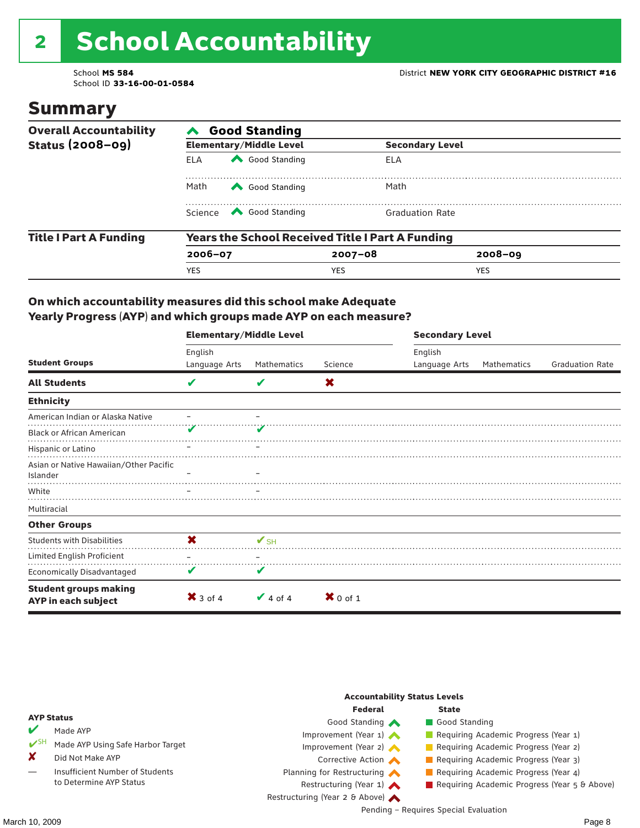# 2 School Accountability

School ID **33-16-00-01-0584**

### Summary

| <b>Overall Accountability</b> | <b>Good Standing</b>                                    |                                                                                                                                                                                                                                                                                                                                                 |                        |             |  |  |  |
|-------------------------------|---------------------------------------------------------|-------------------------------------------------------------------------------------------------------------------------------------------------------------------------------------------------------------------------------------------------------------------------------------------------------------------------------------------------|------------------------|-------------|--|--|--|
| <b>Status (2008-09)</b>       |                                                         | <b>Elementary/Middle Level</b>                                                                                                                                                                                                                                                                                                                  | <b>Secondary Level</b> |             |  |  |  |
|                               | ELA                                                     | Good Standing                                                                                                                                                                                                                                                                                                                                   | ELA                    |             |  |  |  |
|                               | Math                                                    | Good Standing                                                                                                                                                                                                                                                                                                                                   | Math                   |             |  |  |  |
|                               |                                                         | Science <a> Science</a> Science Science Science <a> Science <a> Science <a> Science <a> Science <a> Science <a> Science <a> Science <a> Science <a> Science <a> Science <a<br></a<br> Science <a> Science <a> Science <a<br <="" th=""><th><b>Graduation Rate</b></th><th></th><th></th></a<br></a></a></a></a></a></a></a></a></a></a></a></a> | <b>Graduation Rate</b> |             |  |  |  |
| <b>Title I Part A Funding</b> | <b>Years the School Received Title I Part A Funding</b> |                                                                                                                                                                                                                                                                                                                                                 |                        |             |  |  |  |
|                               | $2006 - 07$                                             |                                                                                                                                                                                                                                                                                                                                                 | $2007 - 08$            | $2008 - 09$ |  |  |  |
|                               | <b>YES</b>                                              |                                                                                                                                                                                                                                                                                                                                                 | <b>YES</b>             | <b>YES</b>  |  |  |  |

#### On which accountability measures did this school make Adequate Yearly Progress (AYP) and which groups made AYP on each measure?

|                                                     | <b>Elementary/Middle Level</b> |               |            | <b>Secondary Level</b> |             |                        |  |
|-----------------------------------------------------|--------------------------------|---------------|------------|------------------------|-------------|------------------------|--|
|                                                     | English                        |               |            | English                |             |                        |  |
| <b>Student Groups</b>                               | Language Arts                  | Mathematics   | Science    | Language Arts          | Mathematics | <b>Graduation Rate</b> |  |
| <b>All Students</b>                                 | V                              |               | X          |                        |             |                        |  |
| <b>Ethnicity</b>                                    |                                |               |            |                        |             |                        |  |
| American Indian or Alaska Native                    |                                |               |            |                        |             |                        |  |
| <b>Black or African American</b>                    |                                |               |            |                        |             |                        |  |
| Hispanic or Latino                                  |                                |               |            |                        |             |                        |  |
| Asian or Native Hawaiian/Other Pacific<br>Islander  |                                |               |            |                        |             |                        |  |
| White                                               |                                |               |            |                        |             |                        |  |
| Multiracial                                         |                                |               |            |                        |             |                        |  |
| <b>Other Groups</b>                                 |                                |               |            |                        |             |                        |  |
| <b>Students with Disabilities</b>                   | $\boldsymbol{\mathsf{x}}$      | $V$ SH        |            |                        |             |                        |  |
| Limited English Proficient                          |                                |               |            |                        |             |                        |  |
| <b>Economically Disadvantaged</b>                   | V                              | V             |            |                        |             |                        |  |
| <b>Student groups making</b><br>AYP in each subject | $\mathsf{X}$ 3 of 4            | $\vee$ 4 of 4 | $X$ 0 of 1 |                        |             |                        |  |

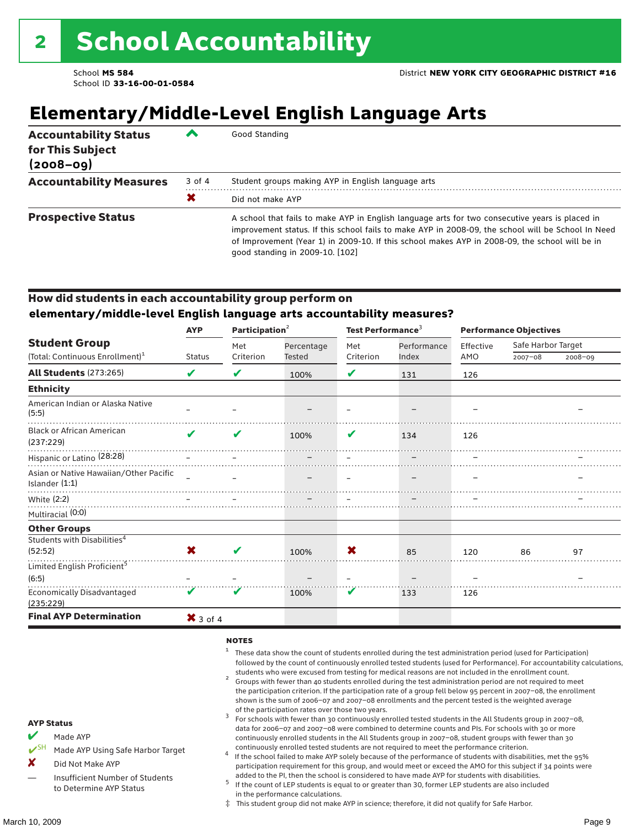## **Elementary/Middle-Level English Language Arts**

| <b>Accountability Status</b><br>for This Subject<br>$(2008 - 09)$ |        | Good Standing                                                                                                                                                                                                                                                                                                                              |
|-------------------------------------------------------------------|--------|--------------------------------------------------------------------------------------------------------------------------------------------------------------------------------------------------------------------------------------------------------------------------------------------------------------------------------------------|
| <b>Accountability Measures</b>                                    | 3 of 4 | Student groups making AYP in English language arts                                                                                                                                                                                                                                                                                         |
|                                                                   | Х      | Did not make AYP                                                                                                                                                                                                                                                                                                                           |
| <b>Prospective Status</b>                                         |        | A school that fails to make AYP in English language arts for two consecutive years is placed in<br>improvement status. If this school fails to make AYP in 2008-09, the school will be School In Need<br>of Improvement (Year 1) in 2009-10. If this school makes AYP in 2008-09, the school will be in<br>qood standing in 2009-10. [102] |

#### How did students in each accountability group perform on **elementary/middle-level English language arts accountability measures?**

|                                                            | <b>AYP</b>               | Participation <sup>2</sup> |               | Test Performance <sup>3</sup> |             | <b>Performance Objectives</b> |                    |         |
|------------------------------------------------------------|--------------------------|----------------------------|---------------|-------------------------------|-------------|-------------------------------|--------------------|---------|
| <b>Student Group</b>                                       |                          | Met                        | Percentage    | Met                           | Performance | Effective                     | Safe Harbor Target |         |
| (Total: Continuous Enrollment) <sup>1</sup>                | <b>Status</b>            | Criterion                  | <b>Tested</b> | Criterion                     | Index       | AMO                           | $2007 - 08$        | 2008-09 |
| <b>All Students (273:265)</b>                              | V                        | V                          | 100%          | V                             | 131         | 126                           |                    |         |
| <b>Ethnicity</b>                                           |                          |                            |               |                               |             |                               |                    |         |
| American Indian or Alaska Native<br>(5:5)                  |                          |                            |               |                               |             |                               |                    |         |
| <b>Black or African American</b><br>(237:229)              | ✔                        | V                          | 100%          | V                             | 134         | 126                           |                    |         |
| Hispanic or Latino (28:28)                                 |                          |                            |               |                               |             |                               |                    |         |
| Asian or Native Hawaiian/Other Pacific<br>Islander $(1:1)$ | $\overline{\phantom{a}}$ |                            |               |                               |             |                               |                    |         |
| White (2:2)                                                |                          |                            |               |                               |             |                               |                    |         |
| Multiracial (0:0)                                          |                          |                            |               |                               |             |                               |                    |         |
| <b>Other Groups</b>                                        |                          |                            |               |                               |             |                               |                    |         |
| Students with Disabilities <sup>4</sup>                    |                          |                            |               |                               |             |                               |                    |         |
| (52:52)                                                    | X                        | ✔                          | 100%          | X                             | 85          | 120                           | 86                 | 97      |
| Limited English Proficient <sup>5</sup>                    |                          |                            |               |                               |             |                               |                    |         |
| (6:5)                                                      |                          |                            |               |                               |             |                               |                    |         |
| <b>Economically Disadvantaged</b><br>(235:229)             | V                        | V                          | 100%          | V                             | 133         | 126                           |                    |         |
| <b>Final AYP Determination</b>                             | $\mathsf{X}$ 3 of 4      |                            |               |                               |             |                               |                    |         |

#### **NOTES**

- <sup>1</sup> These data show the count of students enrolled during the test administration period (used for Participation) followed by the count of continuously enrolled tested students (used for Performance). For accountability calculations,
- students who were excused from testing for medical reasons are not included in the enrollment count. <sup>2</sup> Groups with fewer than 40 students enrolled during the test administration period are not required to meet the participation criterion. If the participation rate of a group fell below 95 percent in 2007–08, the enrollment shown is the sum of 2006–07 and 2007–08 enrollments and the percent tested is the weighted average
- of the participation rates over those two years.<br><sup>3</sup> For schools with fewer than 30 continuously enrolled tested students in the All Students group in 2007–08, data for 2006–07 and 2007–08 were combined to determine counts and PIs. For schools with 30 or more continuously enrolled students in the All Students group in 2007–08, student groups with fewer than 30
- continuously enrolled tested students are not required to meet the performance criterion. <sup>4</sup> If the school failed to make AYP solely because of the performance of students with disabilities, met the 95% participation requirement for this group, and would meet or exceed the AMO for this subject if 34 points were added to the PI, then the school is considered to have made AYP for students with disabilities.
- $5$  If the count of LEP students is equal to or greater than 30, former LEP students are also included in the performance calculations.
- ‡ This student group did not make AYP in science; therefore, it did not qualify for Safe Harbor.
- Made AYP
	- Made AYP Using Safe Harbor Target
- X Did Not Make AYP
- Insufficient Number of Students to Determine AYP Status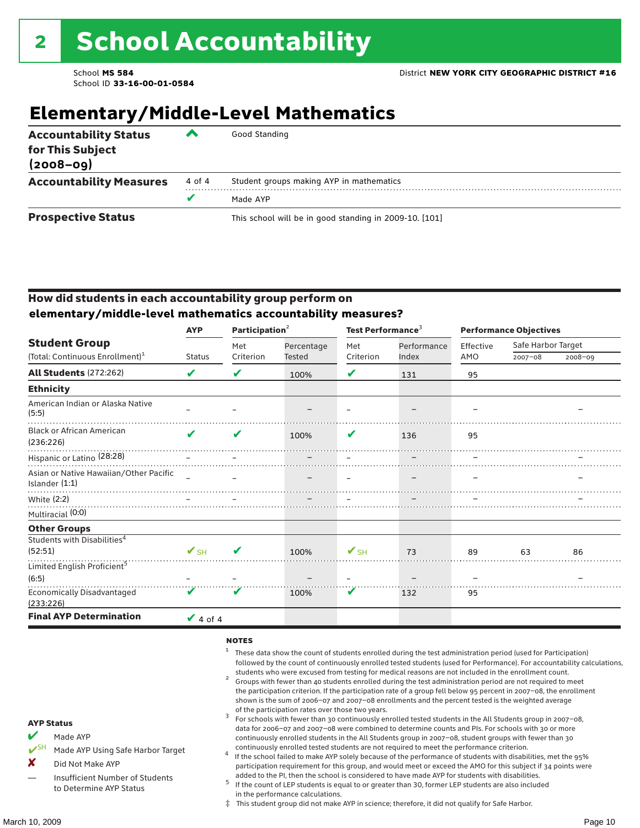## **Elementary/Middle-Level Mathematics**

| <b>Accountability Status</b><br>for This Subject<br>$(2008 - 09)$ | ▰      | Good Standing                                          |
|-------------------------------------------------------------------|--------|--------------------------------------------------------|
| <b>Accountability Measures</b>                                    | 4 of 4 | Student groups making AYP in mathematics               |
|                                                                   | v      | Made AYP                                               |
| <b>Prospective Status</b>                                         |        | This school will be in good standing in 2009-10. [101] |

#### How did students in each accountability group perform on **elementary/middle-level mathematics accountability measures?**

| <b>AYP</b>               | Participation <sup>2</sup> |            |                          |             | <b>Performance Objectives</b>          |             |                    |  |
|--------------------------|----------------------------|------------|--------------------------|-------------|----------------------------------------|-------------|--------------------|--|
|                          | Met                        | Percentage | Met                      | Performance | Effective                              |             |                    |  |
|                          |                            |            |                          |             |                                        | $2007 - 08$ | $2008 - 09$        |  |
| V                        | V                          | 100%       | V                        | 131         | 95                                     |             |                    |  |
|                          |                            |            |                          |             |                                        |             |                    |  |
|                          |                            |            |                          |             |                                        |             |                    |  |
| ✔                        | V                          | 100%       | V                        | 136         | 95                                     |             |                    |  |
|                          |                            |            |                          |             |                                        |             |                    |  |
|                          |                            |            |                          |             |                                        |             |                    |  |
|                          |                            |            |                          |             |                                        |             |                    |  |
|                          |                            |            |                          |             |                                        |             |                    |  |
|                          |                            |            |                          |             |                                        |             |                    |  |
|                          |                            |            |                          |             |                                        |             |                    |  |
| $\mathbf{V}_{\text{SH}}$ | ✔                          | 100%       | $\mathbf{V}_{\text{SH}}$ | 73          | 89                                     | 63          | 86                 |  |
|                          |                            |            |                          |             |                                        |             |                    |  |
|                          |                            |            |                          |             |                                        |             |                    |  |
| V                        | V                          | 100%       | V                        | 132         | 95                                     |             |                    |  |
| $\sqrt{4}$ of 4          |                            |            |                          |             |                                        |             |                    |  |
|                          | <b>Status</b>              | Criterion  | <b>Tested</b>            | Criterion   | Test Performance <sup>3</sup><br>Index | AMO         | Safe Harbor Target |  |

#### **NOTES**

- <sup>1</sup> These data show the count of students enrolled during the test administration period (used for Participation) followed by the count of continuously enrolled tested students (used for Performance). For accountability calculations,
- students who were excused from testing for medical reasons are not included in the enrollment count. <sup>2</sup> Groups with fewer than 40 students enrolled during the test administration period are not required to meet the participation criterion. If the participation rate of a group fell below 95 percent in 2007–08, the enrollment shown is the sum of 2006–07 and 2007–08 enrollments and the percent tested is the weighted average
- of the participation rates over those two years.<br><sup>3</sup> For schools with fewer than 30 continuously enrolled tested students in the All Students group in 2007–08, data for 2006–07 and 2007–08 were combined to determine counts and PIs. For schools with 30 or more continuously enrolled students in the All Students group in 2007–08, student groups with fewer than 30
- continuously enrolled tested students are not required to meet the performance criterion. <sup>4</sup> If the school failed to make AYP solely because of the performance of students with disabilities, met the 95% participation requirement for this group, and would meet or exceed the AMO for this subject if 34 points were added to the PI, then the school is considered to have made AYP for students with disabilities.
- $5$  If the count of LEP students is equal to or greater than 30, former LEP students are also included in the performance calculations.
- ‡ This student group did not make AYP in science; therefore, it did not qualify for Safe Harbor.
- Made AYP
	- Made AYP Using Safe Harbor Target
- X Did Not Make AYP
- Insufficient Number of Students to Determine AYP Status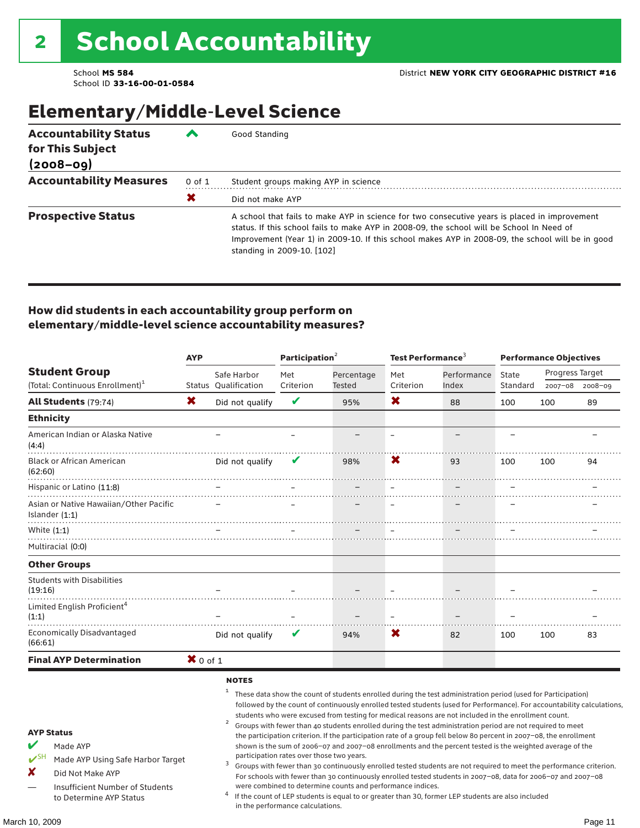## Elementary/Middle-Level Science

| <b>Accountability Status</b><br>for This Subject<br>$(2008 - 09)$ | ▰          | Good Standing                                                                                                                                                                                                                                                                                                                |
|-------------------------------------------------------------------|------------|------------------------------------------------------------------------------------------------------------------------------------------------------------------------------------------------------------------------------------------------------------------------------------------------------------------------------|
| <b>Accountability Measures</b>                                    | $0$ of $1$ | Student groups making AYP in science                                                                                                                                                                                                                                                                                         |
|                                                                   | Х          | Did not make AYP                                                                                                                                                                                                                                                                                                             |
| <b>Prospective Status</b>                                         |            | A school that fails to make AYP in science for two consecutive years is placed in improvement<br>status. If this school fails to make AYP in 2008-09, the school will be School In Need of<br>Improvement (Year 1) in 2009-10. If this school makes AYP in 2008-09, the school will be in good<br>standing in 2009-10. [102] |

#### How did students in each accountability group perform on elementary/middle-level science accountability measures?

|                                                                                                                                                                                   | <b>AYP</b> |                                                              | Participation <sup>2</sup>                                                    |                                                            | Test Performance $3$     |                                                                                                                                                                                                                                                                                                                                                                                                                                                                                                                                                                                                                                                                                                                                                                                                                                                                                                                                                                                                                                                 | <b>Performance Objectives</b> |                 |             |
|-----------------------------------------------------------------------------------------------------------------------------------------------------------------------------------|------------|--------------------------------------------------------------|-------------------------------------------------------------------------------|------------------------------------------------------------|--------------------------|-------------------------------------------------------------------------------------------------------------------------------------------------------------------------------------------------------------------------------------------------------------------------------------------------------------------------------------------------------------------------------------------------------------------------------------------------------------------------------------------------------------------------------------------------------------------------------------------------------------------------------------------------------------------------------------------------------------------------------------------------------------------------------------------------------------------------------------------------------------------------------------------------------------------------------------------------------------------------------------------------------------------------------------------------|-------------------------------|-----------------|-------------|
| <b>Student Group</b>                                                                                                                                                              |            | Safe Harbor                                                  | Met                                                                           | Percentage                                                 | Met                      | Performance                                                                                                                                                                                                                                                                                                                                                                                                                                                                                                                                                                                                                                                                                                                                                                                                                                                                                                                                                                                                                                     | State                         | Progress Target |             |
| (Total: Continuous Enrollment) <sup>1</sup>                                                                                                                                       |            | <b>Status Oualification</b>                                  | Criterion                                                                     | Tested                                                     | Criterion                | Index                                                                                                                                                                                                                                                                                                                                                                                                                                                                                                                                                                                                                                                                                                                                                                                                                                                                                                                                                                                                                                           | Standard                      | 2007-08         | $2008 - 09$ |
| <b>All Students</b> (79:74)                                                                                                                                                       | X          | Did not qualify                                              | V                                                                             | 95%                                                        | X.                       | 88                                                                                                                                                                                                                                                                                                                                                                                                                                                                                                                                                                                                                                                                                                                                                                                                                                                                                                                                                                                                                                              | 100                           | 100             | 89          |
| <b>Ethnicity</b>                                                                                                                                                                  |            |                                                              |                                                                               |                                                            |                          |                                                                                                                                                                                                                                                                                                                                                                                                                                                                                                                                                                                                                                                                                                                                                                                                                                                                                                                                                                                                                                                 |                               |                 |             |
| American Indian or Alaska Native<br>(4:4)                                                                                                                                         |            |                                                              |                                                                               |                                                            | $\overline{\phantom{m}}$ |                                                                                                                                                                                                                                                                                                                                                                                                                                                                                                                                                                                                                                                                                                                                                                                                                                                                                                                                                                                                                                                 |                               |                 |             |
| <b>Black or African American</b><br>(62:60)                                                                                                                                       |            | Did not qualify                                              | v                                                                             | 98%                                                        | X                        | 93                                                                                                                                                                                                                                                                                                                                                                                                                                                                                                                                                                                                                                                                                                                                                                                                                                                                                                                                                                                                                                              | 100                           | 100             | 94          |
| Hispanic or Latino (11:8)                                                                                                                                                         |            |                                                              |                                                                               |                                                            |                          |                                                                                                                                                                                                                                                                                                                                                                                                                                                                                                                                                                                                                                                                                                                                                                                                                                                                                                                                                                                                                                                 |                               |                 |             |
| Asian or Native Hawaiian/Other Pacific<br>Islander (1:1)                                                                                                                          |            |                                                              |                                                                               |                                                            |                          |                                                                                                                                                                                                                                                                                                                                                                                                                                                                                                                                                                                                                                                                                                                                                                                                                                                                                                                                                                                                                                                 |                               |                 |             |
| White (1:1)                                                                                                                                                                       |            |                                                              |                                                                               |                                                            |                          |                                                                                                                                                                                                                                                                                                                                                                                                                                                                                                                                                                                                                                                                                                                                                                                                                                                                                                                                                                                                                                                 |                               |                 |             |
| Multiracial (0:0)                                                                                                                                                                 |            |                                                              |                                                                               |                                                            |                          |                                                                                                                                                                                                                                                                                                                                                                                                                                                                                                                                                                                                                                                                                                                                                                                                                                                                                                                                                                                                                                                 |                               |                 |             |
| <b>Other Groups</b>                                                                                                                                                               |            |                                                              |                                                                               |                                                            |                          |                                                                                                                                                                                                                                                                                                                                                                                                                                                                                                                                                                                                                                                                                                                                                                                                                                                                                                                                                                                                                                                 |                               |                 |             |
| <b>Students with Disabilities</b><br>(19:16)                                                                                                                                      |            |                                                              |                                                                               |                                                            |                          |                                                                                                                                                                                                                                                                                                                                                                                                                                                                                                                                                                                                                                                                                                                                                                                                                                                                                                                                                                                                                                                 |                               |                 |             |
| Limited English Proficient <sup>4</sup><br>(1:1)                                                                                                                                  |            |                                                              |                                                                               |                                                            |                          |                                                                                                                                                                                                                                                                                                                                                                                                                                                                                                                                                                                                                                                                                                                                                                                                                                                                                                                                                                                                                                                 |                               |                 |             |
| <b>Economically Disadvantaged</b><br>(66:61)                                                                                                                                      |            | Did not qualify                                              | V                                                                             | 94%                                                        | X                        | 82                                                                                                                                                                                                                                                                                                                                                                                                                                                                                                                                                                                                                                                                                                                                                                                                                                                                                                                                                                                                                                              | 100                           | 100             | 83          |
| <b>Final AYP Determination</b>                                                                                                                                                    | $X$ 0 of 1 |                                                              |                                                                               |                                                            |                          |                                                                                                                                                                                                                                                                                                                                                                                                                                                                                                                                                                                                                                                                                                                                                                                                                                                                                                                                                                                                                                                 |                               |                 |             |
| <b>AYP Status</b><br>V<br>Made AYP<br>$V^{\text{SH}}$<br>Made AYP Using Safe Harbor Target<br>×<br>Did Not Make AYP<br>Insufficient Number of Students<br>to Determine AYP Status |            | <b>NOTES</b><br>$\mathbf{1}$<br>$\overline{\mathbf{c}}$<br>3 | participation rates over those two years.<br>in the performance calculations. | were combined to determine counts and performance indices. |                          | These data show the count of students enrolled during the test administration period (used for Participation)<br>followed by the count of continuously enrolled tested students (used for Performance). For accountability calculations,<br>students who were excused from testing for medical reasons are not included in the enrollment count.<br>Groups with fewer than 40 students enrolled during the test administration period are not required to meet<br>the participation criterion. If the participation rate of a group fell below 80 percent in 2007-08, the enrollment<br>shown is the sum of 2006-07 and 2007-08 enrollments and the percent tested is the weighted average of the<br>Groups with fewer than 30 continuously enrolled tested students are not required to meet the performance criterion.<br>For schools with fewer than 30 continuously enrolled tested students in 2007-08, data for 2006-07 and 2007-08<br>If the count of LEP students is equal to or greater than 30, former LEP students are also included |                               |                 |             |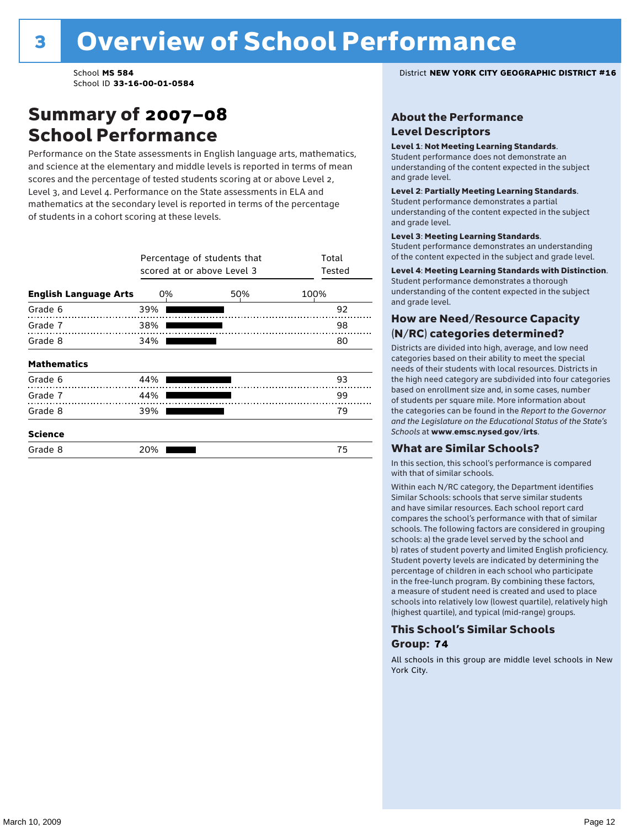### Summary of 2007–08 School Performance

Performance on the State assessments in English language arts, mathematics, and science at the elementary and middle levels is reported in terms of mean scores and the percentage of tested students scoring at or above Level 2, Level 3, and Level 4. Performance on the State assessments in ELA and mathematics at the secondary level is reported in terms of the percentage of students in a cohort scoring at these levels.

|                              | Percentage of students that<br>scored at or above Level 3 | Total<br>Tested |      |
|------------------------------|-----------------------------------------------------------|-----------------|------|
| <b>English Language Arts</b> | 0%                                                        | 50%             | 100% |
| Grade 6                      | 39%                                                       |                 | 92   |
| Grade 7                      | 38%                                                       |                 | 98   |
| Grade 8                      | 34%                                                       |                 | 80   |
| <b>Mathematics</b>           |                                                           |                 |      |
| Grade 6                      | 44%                                                       |                 | 93   |
| Grade 7                      | 44%                                                       |                 | 99   |
| Grade 8                      | 39%                                                       |                 | 79   |
| <b>Science</b>               |                                                           |                 |      |
| Grade 8                      | 20%                                                       |                 | 75   |

School **MS 584** District **NEW YORK CITY GEOGRAPHIC DISTRICT #16**

#### About the Performance Level Descriptors

#### Level 1: Not Meeting Learning Standards.

Student performance does not demonstrate an understanding of the content expected in the subject and grade level.

#### Level 2: Partially Meeting Learning Standards.

Student performance demonstrates a partial understanding of the content expected in the subject and grade level.

#### Level 3: Meeting Learning Standards.

Student performance demonstrates an understanding of the content expected in the subject and grade level.

#### Level 4: Meeting Learning Standards with Distinction.

Student performance demonstrates a thorough understanding of the content expected in the subject and grade level.

#### How are Need/Resource Capacity (N/RC) categories determined?

Districts are divided into high, average, and low need categories based on their ability to meet the special needs of their students with local resources. Districts in the high need category are subdivided into four categories based on enrollment size and, in some cases, number of students per square mile. More information about the categories can be found in the *Report to the Governor and the Legislature on the Educational Status of the State's Schools* at www.emsc.nysed.gov/irts.

#### What are Similar Schools?

In this section, this school's performance is compared with that of similar schools.

Within each N/RC category, the Department identifies Similar Schools: schools that serve similar students and have similar resources. Each school report card compares the school's performance with that of similar schools. The following factors are considered in grouping schools: a) the grade level served by the school and b) rates of student poverty and limited English proficiency. Student poverty levels are indicated by determining the percentage of children in each school who participate in the free-lunch program. By combining these factors, a measure of student need is created and used to place schools into relatively low (lowest quartile), relatively high (highest quartile), and typical (mid-range) groups.

#### This School's Similar Schools Group: **74**

All schools in this group are middle level schools in New York City.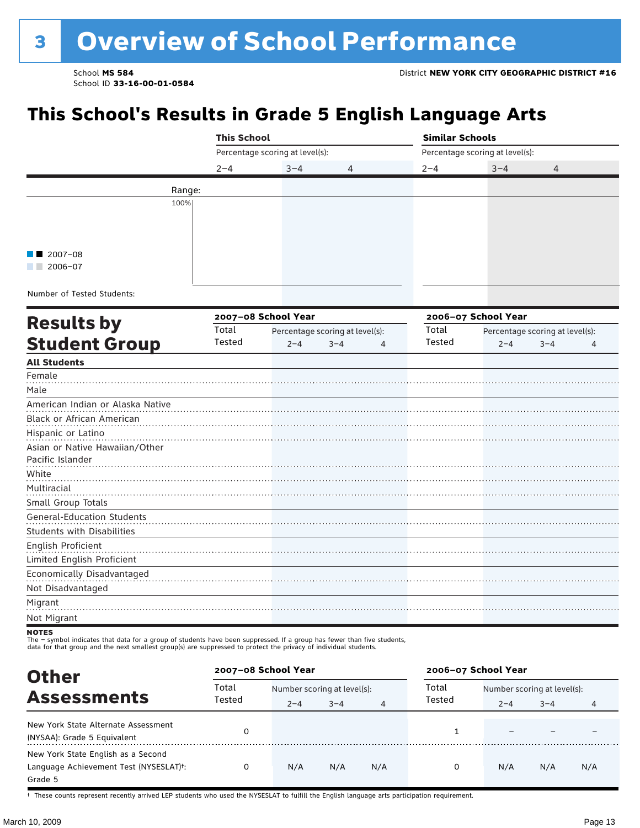# **8 Overview of School Performance**

School ID **33-16-00-01-0584**

## **This School's Results in Grade 5 English Language Arts**

|                                                                                                                                                                                                                                             | <b>This School</b> |                                 |                                 | <b>Similar Schools</b> |                                 |                                 |  |  |
|---------------------------------------------------------------------------------------------------------------------------------------------------------------------------------------------------------------------------------------------|--------------------|---------------------------------|---------------------------------|------------------------|---------------------------------|---------------------------------|--|--|
|                                                                                                                                                                                                                                             |                    | Percentage scoring at level(s): |                                 |                        | Percentage scoring at level(s): |                                 |  |  |
|                                                                                                                                                                                                                                             | $2 - 4$            | $3 - 4$                         | 4                               | $2 - 4$                | $3 - 4$                         | 4                               |  |  |
|                                                                                                                                                                                                                                             | Range:             |                                 |                                 |                        |                                 |                                 |  |  |
| 100%                                                                                                                                                                                                                                        |                    |                                 |                                 |                        |                                 |                                 |  |  |
|                                                                                                                                                                                                                                             |                    |                                 |                                 |                        |                                 |                                 |  |  |
|                                                                                                                                                                                                                                             |                    |                                 |                                 |                        |                                 |                                 |  |  |
|                                                                                                                                                                                                                                             |                    |                                 |                                 |                        |                                 |                                 |  |  |
| $2007 - 08$<br>$\blacksquare$ 2006-07                                                                                                                                                                                                       |                    |                                 |                                 |                        |                                 |                                 |  |  |
|                                                                                                                                                                                                                                             |                    |                                 |                                 |                        |                                 |                                 |  |  |
| Number of Tested Students:                                                                                                                                                                                                                  |                    |                                 |                                 |                        |                                 |                                 |  |  |
|                                                                                                                                                                                                                                             |                    | 2007-08 School Year             |                                 |                        | 2006-07 School Year             |                                 |  |  |
| <b>Results by</b>                                                                                                                                                                                                                           | Total              |                                 | Percentage scoring at level(s): | Total                  |                                 | Percentage scoring at level(s): |  |  |
| <b>Student Group</b>                                                                                                                                                                                                                        | Tested             | $2 - 4$                         | $3 - 4$<br>4                    | Tested                 | $2 - 4$                         | $3 - 4$<br>4                    |  |  |
| <b>All Students</b>                                                                                                                                                                                                                         |                    |                                 |                                 |                        |                                 |                                 |  |  |
| Female                                                                                                                                                                                                                                      |                    |                                 |                                 |                        |                                 |                                 |  |  |
| Male                                                                                                                                                                                                                                        |                    |                                 |                                 |                        |                                 |                                 |  |  |
| American Indian or Alaska Native                                                                                                                                                                                                            |                    |                                 |                                 |                        |                                 |                                 |  |  |
| Black or African American                                                                                                                                                                                                                   |                    |                                 |                                 |                        |                                 |                                 |  |  |
| Hispanic or Latino                                                                                                                                                                                                                          |                    |                                 |                                 |                        |                                 |                                 |  |  |
| Asian or Native Hawaiian/Other                                                                                                                                                                                                              |                    |                                 |                                 |                        |                                 |                                 |  |  |
| Pacific Islander                                                                                                                                                                                                                            |                    |                                 |                                 |                        |                                 |                                 |  |  |
| White                                                                                                                                                                                                                                       |                    |                                 |                                 |                        |                                 |                                 |  |  |
| Multiracial                                                                                                                                                                                                                                 |                    |                                 |                                 |                        |                                 |                                 |  |  |
| Small Group Totals                                                                                                                                                                                                                          |                    |                                 |                                 |                        |                                 |                                 |  |  |
| <b>General-Education Students</b>                                                                                                                                                                                                           |                    |                                 |                                 |                        |                                 |                                 |  |  |
| <b>Students with Disabilities</b>                                                                                                                                                                                                           |                    |                                 |                                 |                        |                                 |                                 |  |  |
| English Proficient<br>Limited English Proficient                                                                                                                                                                                            |                    |                                 |                                 |                        |                                 |                                 |  |  |
| Economically Disadvantaged                                                                                                                                                                                                                  |                    |                                 |                                 |                        |                                 |                                 |  |  |
| Not Disadvantaged                                                                                                                                                                                                                           |                    |                                 |                                 |                        |                                 |                                 |  |  |
| Migrant                                                                                                                                                                                                                                     |                    |                                 |                                 |                        |                                 |                                 |  |  |
| Not Migrant                                                                                                                                                                                                                                 |                    |                                 |                                 |                        |                                 |                                 |  |  |
| NOTES                                                                                                                                                                                                                                       |                    |                                 |                                 |                        |                                 |                                 |  |  |
| The - symbol indicates that data for a group of students have been suppressed. If a group has fewer than five students,<br>data for that group and the next smallest group(s) are suppressed to protect the privacy of individual students. |                    |                                 |                                 |                        |                                 |                                 |  |  |

| <b>Other</b>                                                                                         |                 | 2007-08 School Year                    |         |     | 2006-07 School Year |                                        |         |     |
|------------------------------------------------------------------------------------------------------|-----------------|----------------------------------------|---------|-----|---------------------|----------------------------------------|---------|-----|
| <b>Assessments</b>                                                                                   | Total<br>Tested | Number scoring at level(s):<br>$2 - 4$ | $3 - 4$ | 4   | Total<br>Tested     | Number scoring at level(s):<br>$2 - 4$ | $3 - 4$ |     |
| New York State Alternate Assessment<br>(NYSAA): Grade 5 Equivalent                                   |                 |                                        |         |     |                     |                                        |         |     |
| New York State English as a Second<br>Language Achievement Test (NYSESLAT) <sup>+</sup> :<br>Grade 5 |                 | N/A                                    | N/A     | N/A | 0                   | N/A                                    | N/A     | N/A |

† These counts represent recently arrived LEP students who used the NYSESLAT to fulfill the English language arts participation requirement.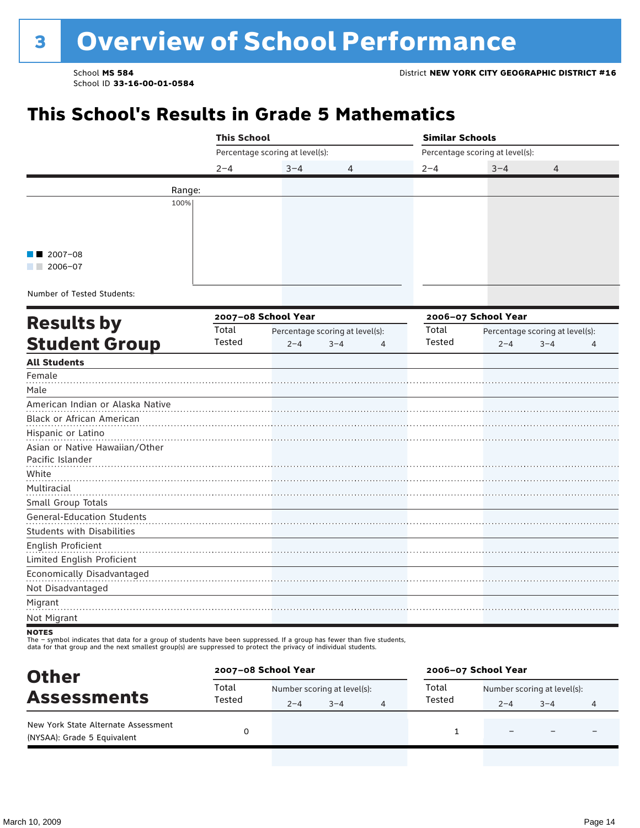### **This School's Results in Grade 5 Mathematics**

|                                   | <b>This School</b> |                                                                                                                   |   |         | <b>Similar Schools</b>          |                                 |   |  |  |  |
|-----------------------------------|--------------------|-------------------------------------------------------------------------------------------------------------------|---|---------|---------------------------------|---------------------------------|---|--|--|--|
|                                   |                    | Percentage scoring at level(s):                                                                                   |   |         | Percentage scoring at level(s): |                                 |   |  |  |  |
|                                   | $2 - 4$            | $3 - 4$                                                                                                           | 4 | $2 - 4$ | $3 - 4$                         | 4                               |   |  |  |  |
|                                   | Range:             |                                                                                                                   |   |         |                                 |                                 |   |  |  |  |
| 100%                              |                    |                                                                                                                   |   |         |                                 |                                 |   |  |  |  |
|                                   |                    |                                                                                                                   |   |         |                                 |                                 |   |  |  |  |
|                                   |                    |                                                                                                                   |   |         |                                 |                                 |   |  |  |  |
|                                   |                    |                                                                                                                   |   |         |                                 |                                 |   |  |  |  |
| $2007 - 08$<br>$2006 - 07$        |                    |                                                                                                                   |   |         |                                 |                                 |   |  |  |  |
|                                   |                    |                                                                                                                   |   |         |                                 |                                 |   |  |  |  |
| Number of Tested Students:        |                    |                                                                                                                   |   |         |                                 |                                 |   |  |  |  |
|                                   |                    | 2007-08 School Year<br>Total<br>Percentage scoring at level(s):<br>Tested<br>$2 - 4$<br>$3 - 4$<br>$\overline{4}$ |   |         | 2006-07 School Year             |                                 |   |  |  |  |
| <b>Results by</b>                 |                    |                                                                                                                   |   | Total   |                                 | Percentage scoring at level(s): |   |  |  |  |
| <b>Student Group</b>              |                    |                                                                                                                   |   | Tested  | $2 - 4$                         | $3 - 4$                         | 4 |  |  |  |
| <b>All Students</b>               |                    |                                                                                                                   |   |         |                                 |                                 |   |  |  |  |
| Female                            |                    |                                                                                                                   |   |         |                                 |                                 |   |  |  |  |
| Male                              |                    |                                                                                                                   |   |         |                                 |                                 |   |  |  |  |
| American Indian or Alaska Native  |                    |                                                                                                                   |   |         |                                 |                                 |   |  |  |  |
| Black or African American         |                    |                                                                                                                   |   |         |                                 |                                 |   |  |  |  |
| Hispanic or Latino                |                    |                                                                                                                   |   |         |                                 |                                 |   |  |  |  |
| Asian or Native Hawaiian/Other    |                    |                                                                                                                   |   |         |                                 |                                 |   |  |  |  |
| Pacific Islander                  |                    |                                                                                                                   |   |         |                                 |                                 |   |  |  |  |
| White                             |                    |                                                                                                                   |   |         |                                 |                                 |   |  |  |  |
| Multiracial                       |                    |                                                                                                                   |   |         |                                 |                                 |   |  |  |  |
| Small Group Totals                |                    |                                                                                                                   |   |         |                                 |                                 |   |  |  |  |
| <b>General-Education Students</b> |                    |                                                                                                                   |   |         |                                 |                                 |   |  |  |  |
| <b>Students with Disabilities</b> |                    |                                                                                                                   |   |         |                                 |                                 |   |  |  |  |
| English Proficient                |                    |                                                                                                                   |   |         |                                 |                                 |   |  |  |  |
| Limited English Proficient        |                    |                                                                                                                   |   |         |                                 |                                 |   |  |  |  |
| Economically Disadvantaged        |                    |                                                                                                                   |   |         |                                 |                                 |   |  |  |  |
| Not Disadvantaged                 |                    |                                                                                                                   |   |         |                                 |                                 |   |  |  |  |
| Migrant                           |                    |                                                                                                                   |   |         |                                 |                                 |   |  |  |  |
| Not Migrant                       |                    |                                                                                                                   |   |         |                                 |                                 |   |  |  |  |
| <b>NOTEC</b>                      |                    |                                                                                                                   |   |         |                                 |                                 |   |  |  |  |

NOTES<br>The – symbol indicates that data for a group of students have been suppressed. If a group has fewer than five students,<br>data for that group and the next smallest group(s) are suppressed to protect the privacy of indi

| <b>Other</b>                                                       | 2007-08 School Year |                             |         | 2006-07 School Year |                             |                          |   |  |
|--------------------------------------------------------------------|---------------------|-----------------------------|---------|---------------------|-----------------------------|--------------------------|---|--|
|                                                                    | Total               | Number scoring at level(s): |         | Total               | Number scoring at level(s): |                          |   |  |
| <b>Assessments</b>                                                 | Tested              | $2 - 4$                     | $3 - 4$ | Tested              | $2 - 4$                     | $3 - 4$                  | 4 |  |
| New York State Alternate Assessment<br>(NYSAA): Grade 5 Equivalent |                     |                             |         |                     | -                           | $\overline{\phantom{0}}$ |   |  |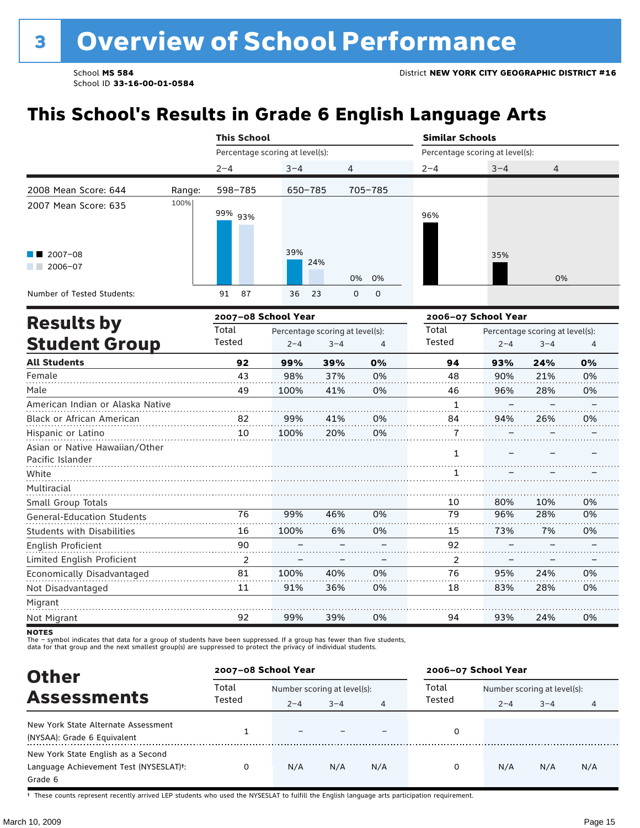### **This School's Results in Grade 6 English Language Arts**

|                                                    |        |                                                                                                                                                                                                                                                                                                                                                                                                                                     |         |   |             | <b>Similar Schools</b>          |         |                                 |    |
|----------------------------------------------------|--------|-------------------------------------------------------------------------------------------------------------------------------------------------------------------------------------------------------------------------------------------------------------------------------------------------------------------------------------------------------------------------------------------------------------------------------------|---------|---|-------------|---------------------------------|---------|---------------------------------|----|
|                                                    |        |                                                                                                                                                                                                                                                                                                                                                                                                                                     |         |   |             | Percentage scoring at level(s): |         |                                 |    |
|                                                    |        | $2 - 4$                                                                                                                                                                                                                                                                                                                                                                                                                             | $3 - 4$ | 4 |             | $2 - 4$                         | $3 - 4$ | 4                               |    |
| 2008 Mean Score: 644                               | Range: | 598-785                                                                                                                                                                                                                                                                                                                                                                                                                             |         |   |             |                                 |         |                                 |    |
| 2007 Mean Score: 635                               | 100%   | 99% 93%                                                                                                                                                                                                                                                                                                                                                                                                                             |         |   |             | 96%                             |         |                                 |    |
| $\blacksquare$ 2007-08<br>$12006 - 07$             |        |                                                                                                                                                                                                                                                                                                                                                                                                                                     | 39%     |   | 0%          |                                 | 35%     | 0%                              |    |
| Number of Tested Students:                         |        | 87<br>91                                                                                                                                                                                                                                                                                                                                                                                                                            | 36      |   | $\mathbf 0$ |                                 |         |                                 |    |
| <b>Results by</b>                                  |        | <b>This School</b><br>Percentage scoring at level(s):<br>650-785<br>705-785<br>24%<br>0%<br>23<br>$\Omega$<br>2007-08 School Year<br>Total<br>Percentage scoring at level(s):<br>Tested<br>$2 - 4$<br>$3 - 4$<br>92<br>99%<br>39%<br>43<br>98%<br>37%<br>49<br>100%<br>41%<br>99%<br>82<br>41%<br>20%<br>10<br>100%<br>99%<br>46%<br>76<br>100%<br>6%<br>16<br>90<br>2<br>81<br>100%<br>40%<br>11<br>91%<br>36%<br>92<br>99%<br>39% |         |   |             | 2006-07 School Year             |         |                                 |    |
|                                                    |        |                                                                                                                                                                                                                                                                                                                                                                                                                                     |         |   |             | Total                           |         | Percentage scoring at level(s): |    |
| <b>Student Group</b>                               |        |                                                                                                                                                                                                                                                                                                                                                                                                                                     |         |   | 4           | Tested                          | $2 - 4$ | $3 - 4$                         | 4  |
| <b>All Students</b>                                |        |                                                                                                                                                                                                                                                                                                                                                                                                                                     |         |   | 0%          | 94                              | 93%     | 24%                             | 0% |
| Female                                             |        |                                                                                                                                                                                                                                                                                                                                                                                                                                     |         |   | 0%          | 48                              | 90%     | 21%                             | 0% |
| Male                                               |        |                                                                                                                                                                                                                                                                                                                                                                                                                                     |         |   | 0%          | 46                              | 96%     | 28%                             | 0% |
| American Indian or Alaska Native                   |        |                                                                                                                                                                                                                                                                                                                                                                                                                                     |         |   |             | 1                               |         |                                 |    |
| Black or African American                          |        |                                                                                                                                                                                                                                                                                                                                                                                                                                     |         |   | 0%          | 84                              | 94%     | 26%                             | 0% |
| Hispanic or Latino                                 |        |                                                                                                                                                                                                                                                                                                                                                                                                                                     |         |   | 0%          | 7                               |         |                                 |    |
| Asian or Native Hawaiian/Other<br>Pacific Islander |        |                                                                                                                                                                                                                                                                                                                                                                                                                                     |         |   |             | 1                               |         |                                 |    |
| White                                              |        |                                                                                                                                                                                                                                                                                                                                                                                                                                     |         |   |             | 1                               |         |                                 |    |
| Multiracial                                        |        |                                                                                                                                                                                                                                                                                                                                                                                                                                     |         |   |             |                                 |         |                                 |    |
| Small Group Totals                                 |        |                                                                                                                                                                                                                                                                                                                                                                                                                                     |         |   |             | 10                              | 80%     | 10%                             | 0% |
| <b>General-Education Students</b>                  |        |                                                                                                                                                                                                                                                                                                                                                                                                                                     |         |   | 0%          | 79                              | 96%     | 28%                             | 0% |
| <b>Students with Disabilities</b>                  |        |                                                                                                                                                                                                                                                                                                                                                                                                                                     |         |   | 0%          | 15                              | 73%     | 7%                              | 0% |
| English Proficient                                 |        |                                                                                                                                                                                                                                                                                                                                                                                                                                     |         |   |             | 92                              |         |                                 |    |
| Limited English Proficient                         |        |                                                                                                                                                                                                                                                                                                                                                                                                                                     |         |   |             | 2                               |         |                                 |    |
| Economically Disadvantaged                         |        |                                                                                                                                                                                                                                                                                                                                                                                                                                     |         |   | 0%          | 76                              | 95%     | 24%                             | 0% |
| Not Disadvantaged                                  |        |                                                                                                                                                                                                                                                                                                                                                                                                                                     |         |   | 0%          | 18                              | 83%     | 28%                             | 0% |
| Migrant                                            |        |                                                                                                                                                                                                                                                                                                                                                                                                                                     |         |   |             |                                 |         |                                 |    |
| Not Migrant                                        |        |                                                                                                                                                                                                                                                                                                                                                                                                                                     |         |   | 0%          | 94                              | 93%     | 24%                             | 0% |

**NOTES** 

The – symbol indicates that data for a group of students have been suppressed. If a group has fewer than five students,<br>data for that group and the next smallest group(s) are suppressed to protect the privacy of individual

| <b>Other</b>                                                                                         |        | 2007-08 School Year |                             |     | 2006-07 School Year |                             |         |     |
|------------------------------------------------------------------------------------------------------|--------|---------------------|-----------------------------|-----|---------------------|-----------------------------|---------|-----|
|                                                                                                      | Total  |                     | Number scoring at level(s): |     |                     | Number scoring at level(s): |         |     |
| <b>Assessments</b>                                                                                   | Tested | $2 - 4$             | $3 - 4$                     | 4   | Tested              | $2 - 4$                     | $3 - 4$ | 4   |
| New York State Alternate Assessment<br>(NYSAA): Grade 6 Equivalent                                   |        |                     |                             |     |                     |                             |         |     |
| New York State English as a Second<br>Language Achievement Test (NYSESLAT) <sup>+</sup> :<br>Grade 6 |        | N/A                 | N/A                         | N/A | 0                   | N/A                         | N/A     | N/A |

† These counts represent recently arrived LEP students who used the NYSESLAT to fulfill the English language arts participation requirement.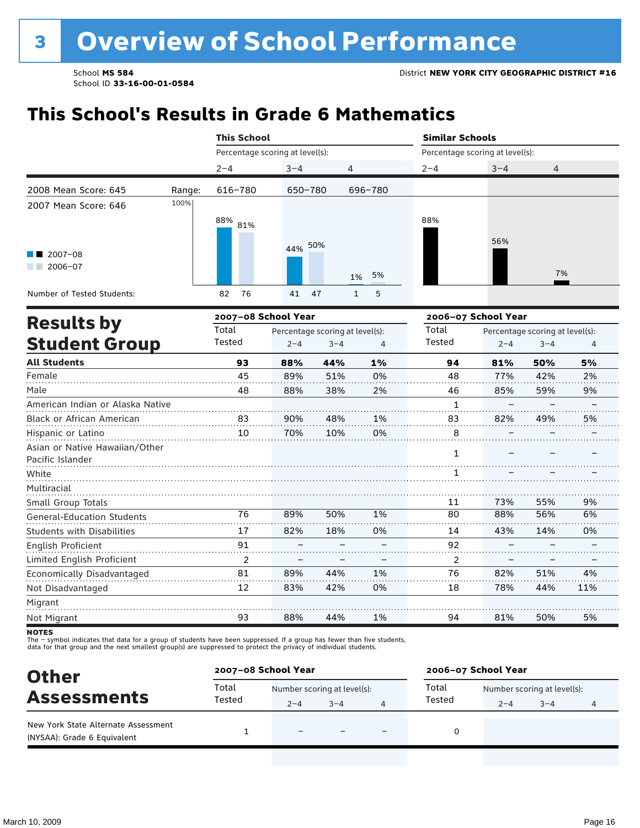### **This School's Results in Grade 6 Mathematics**

|                                   | <b>This School</b><br><b>Similar Schools</b><br>Percentage scoring at level(s):<br>Percentage scoring at level(s):<br>$2 - 4$<br>$3 - 4$<br>4<br>$2 - 4$<br>616-780<br>696-780<br>650-780<br>$88\%$ 81%<br>88%<br>44% 50%<br>5%<br>1%<br>82<br>76<br>47<br>$\mathbf{1}$<br>5<br>41<br>2007-08 School Year<br>2006-07 School Year<br>Total<br>Total<br>Percentage scoring at level(s):<br>Tested<br>Tested<br>$2 - 4$<br>$3 - 4$<br>4<br>93<br>1%<br>88%<br>44%<br>94<br>45<br>51%<br>89%<br>0%<br>48<br>88%<br>38%<br>2%<br>48<br>46<br>1<br>90%<br>48%<br>1%<br>83<br>83<br>10<br>70%<br>10%<br>0%<br>8<br>1<br>1<br>11<br>76<br>89%<br>50%<br>1%<br>80 |     |     |    |    |         |                                 |     |
|-----------------------------------|----------------------------------------------------------------------------------------------------------------------------------------------------------------------------------------------------------------------------------------------------------------------------------------------------------------------------------------------------------------------------------------------------------------------------------------------------------------------------------------------------------------------------------------------------------------------------------------------------------------------------------------------------------|-----|-----|----|----|---------|---------------------------------|-----|
|                                   |                                                                                                                                                                                                                                                                                                                                                                                                                                                                                                                                                                                                                                                          |     |     |    |    | $3 - 4$ | 4                               |     |
| 2008 Mean Score: 645<br>Range:    |                                                                                                                                                                                                                                                                                                                                                                                                                                                                                                                                                                                                                                                          |     |     |    |    |         |                                 |     |
| 100%<br>2007 Mean Score: 646      |                                                                                                                                                                                                                                                                                                                                                                                                                                                                                                                                                                                                                                                          |     |     |    |    |         |                                 |     |
|                                   |                                                                                                                                                                                                                                                                                                                                                                                                                                                                                                                                                                                                                                                          |     |     |    |    |         |                                 |     |
|                                   |                                                                                                                                                                                                                                                                                                                                                                                                                                                                                                                                                                                                                                                          |     |     |    |    | 56%     |                                 |     |
| $2007 - 08$                       |                                                                                                                                                                                                                                                                                                                                                                                                                                                                                                                                                                                                                                                          |     |     |    |    |         |                                 |     |
| $2006 - 07$                       |                                                                                                                                                                                                                                                                                                                                                                                                                                                                                                                                                                                                                                                          |     |     |    |    |         | 7%                              |     |
| Number of Tested Students:        |                                                                                                                                                                                                                                                                                                                                                                                                                                                                                                                                                                                                                                                          |     |     |    |    |         |                                 |     |
| <b>Results by</b>                 |                                                                                                                                                                                                                                                                                                                                                                                                                                                                                                                                                                                                                                                          |     |     |    |    |         |                                 |     |
|                                   |                                                                                                                                                                                                                                                                                                                                                                                                                                                                                                                                                                                                                                                          |     |     |    |    |         | Percentage scoring at level(s): |     |
| <b>Student Group</b>              |                                                                                                                                                                                                                                                                                                                                                                                                                                                                                                                                                                                                                                                          |     |     |    |    | $2 - 4$ | $3 - 4$                         | 4   |
| <b>All Students</b>               |                                                                                                                                                                                                                                                                                                                                                                                                                                                                                                                                                                                                                                                          |     |     |    |    | 81%     | 50%                             | 5%  |
| Female                            |                                                                                                                                                                                                                                                                                                                                                                                                                                                                                                                                                                                                                                                          |     |     |    |    | 77%     | 42%                             | 2%  |
| Male                              |                                                                                                                                                                                                                                                                                                                                                                                                                                                                                                                                                                                                                                                          |     |     |    |    | 85%     | 59%                             | 9%  |
| American Indian or Alaska Native  |                                                                                                                                                                                                                                                                                                                                                                                                                                                                                                                                                                                                                                                          |     |     |    |    |         |                                 |     |
| Black or African American         |                                                                                                                                                                                                                                                                                                                                                                                                                                                                                                                                                                                                                                                          |     |     |    |    | 82%     | 49%                             | 5%  |
| Hispanic or Latino                |                                                                                                                                                                                                                                                                                                                                                                                                                                                                                                                                                                                                                                                          |     |     |    |    |         |                                 |     |
| Asian or Native Hawaiian/Other    |                                                                                                                                                                                                                                                                                                                                                                                                                                                                                                                                                                                                                                                          |     |     |    |    |         |                                 |     |
| Pacific Islander                  |                                                                                                                                                                                                                                                                                                                                                                                                                                                                                                                                                                                                                                                          |     |     |    |    |         |                                 |     |
| White                             |                                                                                                                                                                                                                                                                                                                                                                                                                                                                                                                                                                                                                                                          |     |     |    |    |         |                                 |     |
| Multiracial                       |                                                                                                                                                                                                                                                                                                                                                                                                                                                                                                                                                                                                                                                          |     |     |    |    |         |                                 |     |
| Small Group Totals                |                                                                                                                                                                                                                                                                                                                                                                                                                                                                                                                                                                                                                                                          |     |     |    |    | 73%     | 55%                             | 9%  |
| <b>General-Education Students</b> |                                                                                                                                                                                                                                                                                                                                                                                                                                                                                                                                                                                                                                                          |     |     |    |    | 88%     | 56%                             | 6%  |
| <b>Students with Disabilities</b> | 17                                                                                                                                                                                                                                                                                                                                                                                                                                                                                                                                                                                                                                                       | 82% | 18% | 0% | 14 | 43%     | 14%                             | 0%  |
| English Proficient                | 91                                                                                                                                                                                                                                                                                                                                                                                                                                                                                                                                                                                                                                                       |     |     |    | 92 |         |                                 |     |
| Limited English Proficient        | 2                                                                                                                                                                                                                                                                                                                                                                                                                                                                                                                                                                                                                                                        |     |     |    | 2  |         |                                 |     |
| Economically Disadvantaged        | 81                                                                                                                                                                                                                                                                                                                                                                                                                                                                                                                                                                                                                                                       | 89% | 44% | 1% | 76 | 82%     | 51%                             | 4%  |
| Not Disadvantaged                 | 12                                                                                                                                                                                                                                                                                                                                                                                                                                                                                                                                                                                                                                                       | 83% | 42% | 0% | 18 | 78%     | 44%                             | 11% |
| Migrant                           |                                                                                                                                                                                                                                                                                                                                                                                                                                                                                                                                                                                                                                                          |     |     |    |    |         |                                 |     |
| Not Migrant                       | 93                                                                                                                                                                                                                                                                                                                                                                                                                                                                                                                                                                                                                                                       | 88% | 44% | 1% | 94 | 81%     | 50%                             | 5%  |

**NOTES** 

The – symbol indicates that data for a group of students have been suppressed. If a group has fewer than five students,<br>data for that group and the next smallest group(s) are suppressed to protect the privacy of individual

| <b>Other</b>                                                       | 2007-08 School Year |                             |         |                          | 2006-07 School Year |                             |         |  |  |
|--------------------------------------------------------------------|---------------------|-----------------------------|---------|--------------------------|---------------------|-----------------------------|---------|--|--|
|                                                                    | Total               | Number scoring at level(s): |         |                          | Total               | Number scoring at level(s): |         |  |  |
| <b>Assessments</b>                                                 | Tested              | $2 - 4$                     | $3 - 4$ | 4                        | Tested              | $2 - 4$                     | $3 - 4$ |  |  |
| New York State Alternate Assessment<br>(NYSAA): Grade 6 Equivalent |                     | $\overline{\phantom{0}}$    |         | $\overline{\phantom{0}}$ |                     |                             |         |  |  |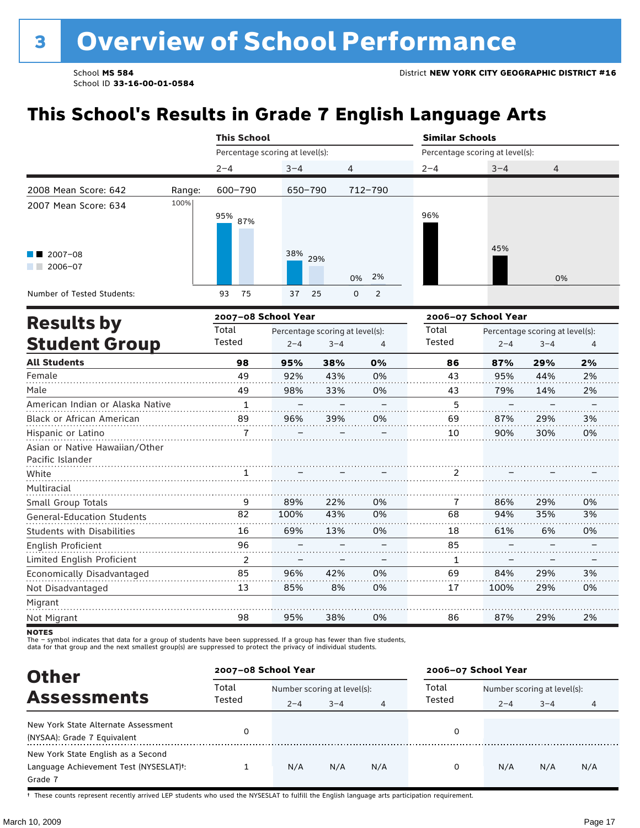### **This School's Results in Grade 7 English Language Arts**

|                                                    |        | <b>This School</b>              |                                 |         |                               | <b>Similar Schools</b>          |                     |         |    |  |
|----------------------------------------------------|--------|---------------------------------|---------------------------------|---------|-------------------------------|---------------------------------|---------------------|---------|----|--|
|                                                    |        |                                 | Percentage scoring at level(s): |         |                               | Percentage scoring at level(s): |                     |         |    |  |
|                                                    |        | $2 - 4$                         | $3 - 4$                         | 4       |                               | $2 - 4$                         | $3 - 4$             | 4       |    |  |
| 2008 Mean Score: 642                               | Range: | 600-790                         | 650-790                         |         | 712-790                       |                                 |                     |         |    |  |
| 2007 Mean Score: 634                               | 100%   | 95% 87%                         |                                 |         |                               | 96%                             |                     |         |    |  |
| $\blacksquare$ 2007-08<br>$2006 - 07$              |        |                                 | 38%                             | 29%     | 2%<br>0%                      |                                 | 45%                 | 0%      |    |  |
| Number of Tested Students:                         |        | 93<br>75                        | 37                              | 25      | $\overline{2}$<br>$\mathbf 0$ |                                 |                     |         |    |  |
|                                                    |        | 2007-08 School Year             |                                 |         |                               |                                 | 2006-07 School Year |         |    |  |
| <b>Results by</b>                                  | Total  | Percentage scoring at level(s): |                                 |         | Total                         | Percentage scoring at level(s): |                     |         |    |  |
| <b>Student Group</b>                               |        | Tested                          | $2 - 4$                         | $3 - 4$ | 4                             | Tested                          | $2 - 4$             | $3 - 4$ | 4  |  |
| <b>All Students</b>                                |        | 98                              | 95%                             | 38%     | 0%                            | 86                              | 87%                 | 29%     | 2% |  |
| Female                                             |        | 49                              | 92%                             | 43%     | 0%                            | 43                              | 95%                 | 44%     | 2% |  |
| Male                                               |        | 49                              | 98%                             | 33%     | 0%                            | 43                              | 79%                 | 14%     | 2% |  |
| American Indian or Alaska Native                   |        | $\mathbf{1}$                    |                                 |         |                               | 5                               |                     |         |    |  |
| Black or African American                          |        | 89                              | 96%                             | 39%     | 0%                            | 69                              | 87%                 | 29%     | 3% |  |
| Hispanic or Latino                                 |        | $\overline{7}$                  |                                 |         |                               | 10                              | 90%                 | 30%     | 0% |  |
| Asian or Native Hawaiian/Other<br>Pacific Islander |        |                                 |                                 |         |                               |                                 |                     |         |    |  |
| White                                              |        |                                 |                                 |         |                               | 2                               |                     |         |    |  |
| Multiracial                                        |        |                                 |                                 |         |                               |                                 |                     |         |    |  |
| Small Group Totals                                 |        | 9                               | 89%                             | 22%     | 0%                            | 7                               | 86%                 | 29%     | 0% |  |
| <b>General-Education Students</b>                  |        | 82                              | 100%                            | 43%     | 0%                            | 68                              | 94%                 | 35%     | 3% |  |
| <b>Students with Disabilities</b>                  |        | 16                              | 69%                             | 13%     | 0%                            | 18                              | 61%                 | 6%      | 0% |  |
| English Proficient                                 |        | 96                              |                                 |         |                               | 85                              |                     |         |    |  |
| Limited English Proficient                         |        | $\overline{2}$                  |                                 |         |                               | 1                               |                     |         |    |  |
| Economically Disadvantaged                         |        | 85                              | 96%                             | 42%     | 0%                            | 69                              | 84%                 | 29%     | 3% |  |
| Not Disadvantaged                                  |        | 13                              | 85%                             | 8%      | 0%                            | 17                              | 100%                | 29%     | 0% |  |
| Migrant                                            |        |                                 |                                 |         |                               |                                 |                     |         |    |  |

**NOTES** 

Not Migrant

The – symbol indicates that data for a group of students have been suppressed. If a group has fewer than five students,<br>data for that group and the next smallest group(s) are suppressed to protect the privacy of individual

98

| <b>Other</b>                                                                                         |                 | 2007-08 School Year         |         |     | 2006-07 School Year |                             |         |     |  |
|------------------------------------------------------------------------------------------------------|-----------------|-----------------------------|---------|-----|---------------------|-----------------------------|---------|-----|--|
|                                                                                                      | Total<br>Tested | Number scoring at level(s): |         |     | Total               | Number scoring at level(s): |         |     |  |
| <b>Assessments</b>                                                                                   |                 | $2 - 4$                     | $3 - 4$ | 4   | Tested              | $2 - 4$                     | $3 - 4$ | 4   |  |
| New York State Alternate Assessment<br>(NYSAA): Grade 7 Equivalent                                   |                 |                             |         |     | 0                   |                             |         |     |  |
| New York State English as a Second<br>Language Achievement Test (NYSESLAT) <sup>+</sup> :<br>Grade 7 |                 | N/A                         | N/A     | N/A | 0                   | N/A                         | N/A     | N/A |  |

38%

0%

86

87%

29%

2%

95%

† These counts represent recently arrived LEP students who used the NYSESLAT to fulfill the English language arts participation requirement.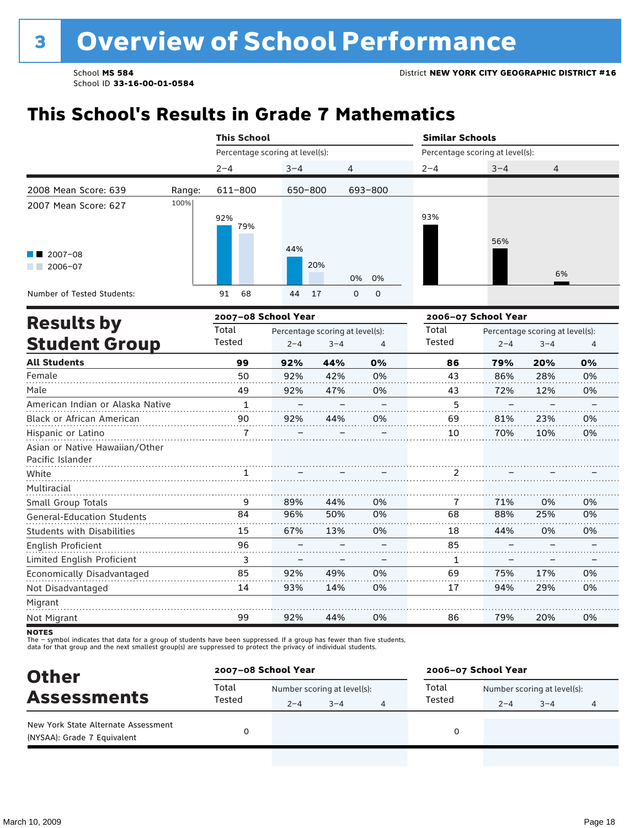### **This School's Results in Grade 7 Mathematics**

|                                                    |        | <b>This School</b>              |         |                                            |                            | <b>Similar Schools</b>          |                     |                                            |                |  |
|----------------------------------------------------|--------|---------------------------------|---------|--------------------------------------------|----------------------------|---------------------------------|---------------------|--------------------------------------------|----------------|--|
|                                                    |        | Percentage scoring at level(s): |         |                                            |                            | Percentage scoring at level(s): |                     |                                            |                |  |
|                                                    |        | $2 - 4$                         | $3 - 4$ | 4                                          |                            | $2 - 4$                         | $3 - 4$             | 4                                          |                |  |
| 2008 Mean Score: 639                               | Range: | 611-800                         | 650-800 |                                            | 693-800                    |                                 |                     |                                            |                |  |
| 2007 Mean Score: 627                               | 100%   | 92%<br>79%                      |         |                                            |                            | 93%                             | 56%                 |                                            |                |  |
| 2007-08<br>$2006 - 07$                             |        |                                 | 44%     | 20%                                        | 0%<br>0%                   |                                 |                     | 6%                                         |                |  |
| Number of Tested Students:                         |        | 91<br>68                        | 44      | 17                                         | $\mathbf 0$<br>$\mathbf 0$ |                                 |                     |                                            |                |  |
|                                                    |        | 2007-08 School Year             |         |                                            |                            |                                 | 2006-07 School Year |                                            |                |  |
| <b>Results by</b><br><b>Student Group</b>          |        | Total<br>Tested                 | $2 - 4$ | Percentage scoring at level(s):<br>$3 - 4$ | $\overline{4}$             | Total<br>Tested                 | $2 - 4$             | Percentage scoring at level(s):<br>$3 - 4$ | $\overline{4}$ |  |
| <b>All Students</b>                                |        | 99                              | 92%     | 44%                                        | 0%                         | 86                              | 79%                 | 20%                                        | 0%             |  |
| Female                                             |        | 50                              | 92%     | 42%                                        | 0%                         | 43                              | 86%                 | 28%                                        | 0%             |  |
| Male                                               |        | 49                              | 92%     | 47%                                        | 0%                         | 43                              | 72%                 | 12%                                        | 0%             |  |
| American Indian or Alaska Native                   |        | $\mathbf{1}$                    |         |                                            |                            | 5                               |                     |                                            |                |  |
| <b>Black or African American</b>                   |        | 90                              | 92%     | 44%                                        | 0%                         | 69                              | 81%                 | 23%                                        | 0%             |  |
| Hispanic or Latino                                 |        | 7                               |         |                                            |                            | 10                              | 70%                 | 10%                                        | 0%             |  |
| Asian or Native Hawaiian/Other<br>Pacific Islander |        |                                 |         |                                            |                            |                                 |                     |                                            |                |  |
| White                                              |        | 1                               |         |                                            |                            | 2                               |                     |                                            |                |  |
| Multiracial                                        |        |                                 |         |                                            |                            |                                 |                     |                                            |                |  |
| Small Group Totals                                 |        | 9                               | 89%     | 44%                                        | 0%                         | 7                               | 71%                 | 0%                                         | 0%             |  |
| <b>General-Education Students</b>                  |        | 84                              | 96%     | 50%                                        | 0%                         | 68                              | 88%                 | 25%                                        | 0%             |  |
| <b>Students with Disabilities</b>                  |        | 15                              | 67%     | 13%                                        | 0%                         | 18                              | 44%                 | 0%                                         | 0%             |  |
| English Proficient                                 |        | 96                              |         |                                            |                            | 85                              |                     |                                            |                |  |
| Limited English Proficient                         |        | 3                               |         |                                            |                            | 1                               |                     |                                            |                |  |
| Economically Disadvantaged                         |        | 85                              | 92%     | 49%                                        | 0%                         | 69                              | 75%                 | 17%                                        | 0%             |  |
| Not Disadvantaged                                  |        | 14                              | 93%     | 14%                                        | 0%                         | 17                              | 94%                 | 29%                                        | 0%             |  |
| Migrant                                            |        |                                 |         |                                            |                            |                                 |                     |                                            |                |  |
| Not Migrant                                        |        | 99                              | 92%     | 44%                                        | 0%                         | 86                              | 79%                 | 20%                                        | 0%             |  |

**NOTES** 

The – symbol indicates that data for a group of students have been suppressed. If a group has fewer than five students,<br>data for that group and the next smallest group(s) are suppressed to protect the privacy of individual

| <b>Other</b>                                                       |        | 2007-08 School Year         |         |  |        | 2006-07 School Year         |         |   |  |
|--------------------------------------------------------------------|--------|-----------------------------|---------|--|--------|-----------------------------|---------|---|--|
|                                                                    | Total  | Number scoring at level(s): |         |  | Total  | Number scoring at level(s): |         |   |  |
| <b>Assessments</b>                                                 | Tested | $2 - 4$                     | $3 - 4$ |  | Tested | $2 - 4$                     | $3 - 4$ | 4 |  |
| New York State Alternate Assessment<br>(NYSAA): Grade 7 Equivalent |        |                             |         |  |        |                             |         |   |  |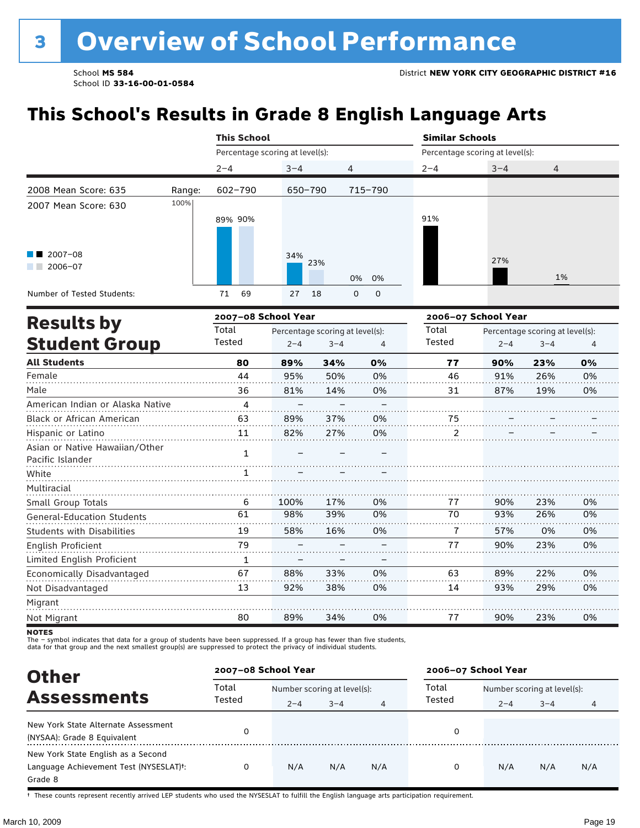### **This School's Results in Grade 8 English Language Arts**

|                                           | <b>This School</b> |                                                                              |            |                                |                                 |         |    |  |
|-------------------------------------------|--------------------|------------------------------------------------------------------------------|------------|--------------------------------|---------------------------------|---------|----|--|
|                                           |                    | Percentage scoring at level(s):                                              |            |                                | Percentage scoring at level(s): |         |    |  |
|                                           |                    | $2 - 4$                                                                      | $3 - 4$    | $\overline{4}$                 | $2 - 4$                         | $3 - 4$ | 4  |  |
| 2008 Mean Score: 635                      | Range:             | 602-790                                                                      | 650-790    | 715-790                        |                                 |         |    |  |
| 2007 Mean Score: 630                      | 100%               | 89% 90%                                                                      |            |                                | 91%                             |         |    |  |
| $\blacksquare$ 2007-08<br>2006-07<br>a sa |                    |                                                                              | 34%<br>23% | 0% 0%                          |                                 | 27%     | 1% |  |
| Number of Tested Students:                |                    | 69<br>71                                                                     | 27<br>18   | $\mathsf{O}$<br>$\overline{0}$ |                                 |         |    |  |
|                                           |                    | $\mathbf{a} \cdot \mathbf{b} = \mathbf{a} \cdot \mathbf{b} \cdot \mathbf{c}$ |            |                                |                                 |         |    |  |

|                                                    |        | 2007-08 School Year |                                 |    | 2006-07 School Year |         |                                 |    |
|----------------------------------------------------|--------|---------------------|---------------------------------|----|---------------------|---------|---------------------------------|----|
| <b>Results by</b>                                  | Total  |                     | Percentage scoring at level(s): |    | Total               |         | Percentage scoring at level(s): |    |
| <b>Student Group</b>                               | Tested | $2 - 4$             | $3 - 4$                         | 4  | Tested              | $2 - 4$ | $3 - 4$                         | 4  |
| <b>All Students</b>                                | 80     | 89%                 | 34%                             | 0% | 77                  | 90%     | 23%                             | 0% |
| Female                                             | 44     | 95%                 | 50%                             | 0% | 46                  | 91%     | 26%                             | 0% |
| Male                                               | 36     | 81%                 | 14%                             | 0% | 31                  | 87%     | 19%                             | 0% |
| American Indian or Alaska Native                   | 4      |                     |                                 |    |                     |         |                                 |    |
| Black or African American                          | 63     | 89%                 | 37%                             | 0% | 75                  |         |                                 |    |
| Hispanic or Latino                                 | 11     | 82%                 | 27%                             | 0% | 2                   |         |                                 |    |
| Asian or Native Hawaiian/Other<br>Pacific Islander | 1      |                     |                                 |    |                     |         |                                 |    |
| White                                              |        |                     |                                 |    |                     |         |                                 |    |
| Multiracial                                        |        |                     |                                 |    |                     |         |                                 |    |
| Small Group Totals                                 | 6      | 100%                | 17%                             | 0% | 77                  | 90%     | 23%                             | 0% |
| General-Education Students                         | 61     | 98%                 | 39%                             | 0% | 70                  | 93%     | 26%                             | 0% |
| <b>Students with Disabilities</b>                  | 19     | 58%                 | 16%                             | 0% | 7                   | 57%     | 0%                              | 0% |
| English Proficient                                 | 79     |                     |                                 |    | 77                  | 90%     | 23%                             | 0% |
| Limited English Proficient                         | 1      | -                   |                                 |    |                     |         |                                 |    |
| Economically Disadvantaged                         | 67     | 88%                 | 33%                             | 0% | 63                  | 89%     | 22%                             | 0% |
| Not Disadvantaged                                  | 13     | 92%                 | 38%                             | 0% | 14                  | 93%     | 29%                             | 0% |
| Migrant                                            |        |                     |                                 |    |                     |         |                                 |    |
| Not Migrant                                        | 80     | 89%                 | 34%                             | 0% | 77                  | 90%     | 23%                             | 0% |

**NOTES** 

The – symbol indicates that data for a group of students have been suppressed. If a group has fewer than five students,<br>data for that group and the next smallest group(s) are suppressed to protect the privacy of individual

| <b>Other</b>                                                                                         | 2007-08 School Year |                                        |         |                | 2006-07 School Year |                                        |         |     |  |
|------------------------------------------------------------------------------------------------------|---------------------|----------------------------------------|---------|----------------|---------------------|----------------------------------------|---------|-----|--|
| <b>Assessments</b>                                                                                   | Total<br>Tested     | Number scoring at level(s):<br>$2 - 4$ | $3 - 4$ | $\overline{4}$ | Total<br>Tested     | Number scoring at level(s):<br>$2 - 4$ | $3 - 4$ |     |  |
| New York State Alternate Assessment<br>(NYSAA): Grade 8 Equivalent                                   |                     |                                        |         |                | 0                   |                                        |         |     |  |
| New York State English as a Second<br>Language Achievement Test (NYSESLAT) <sup>+</sup> :<br>Grade 8 |                     | N/A                                    | N/A     | N/A            | 0                   | N/A                                    | N/A     | N/A |  |

† These counts represent recently arrived LEP students who used the NYSESLAT to fulfill the English language arts participation requirement.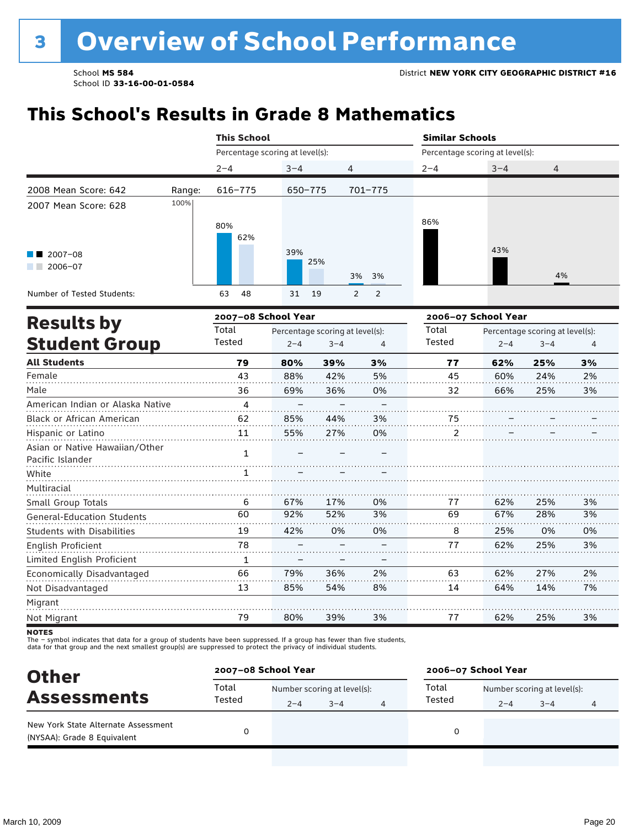### **This School's Results in Grade 8 Mathematics**

|                                                    |        | <b>This School</b>                       |         |                |                                 | <b>Similar Schools</b>          |                                 |                |    |  |
|----------------------------------------------------|--------|------------------------------------------|---------|----------------|---------------------------------|---------------------------------|---------------------------------|----------------|----|--|
|                                                    |        | Percentage scoring at level(s):          |         |                |                                 | Percentage scoring at level(s): |                                 |                |    |  |
|                                                    |        | $2 - 4$                                  | $3 - 4$ | 4              |                                 | $2 - 4$                         | $3 - 4$                         | 4              |    |  |
| 2008 Mean Score: 642                               | Range: | $616 - 775$                              | 650-775 |                | 701-775                         |                                 |                                 |                |    |  |
| 2007 Mean Score: 628                               | 100%   |                                          |         |                |                                 |                                 |                                 |                |    |  |
| 2007-08<br>$2006 - 07$                             |        | 80%<br>62%                               | 39%     | 25%            |                                 | 86%                             | 43%                             | 4%             |    |  |
| Number of Tested Students:                         |        | 48<br>63                                 | 31      | 19             | 3%<br>3%<br>2<br>$\overline{2}$ |                                 |                                 |                |    |  |
|                                                    |        | 2007-08 School Year                      |         |                |                                 |                                 | 2006-07 School Year             |                |    |  |
| <b>Results by</b>                                  |        | Total<br>Percentage scoring at level(s): |         |                | Total                           |                                 | Percentage scoring at level(s): |                |    |  |
| <b>Student Group</b>                               | Tested | $2 - 4$                                  | $3 - 4$ | $\overline{4}$ | Tested                          | $2 - 4$                         | $3 - 4$                         | $\overline{4}$ |    |  |
| <b>All Students</b>                                |        | 79                                       | 80%     | 39%            | 3%                              | 77                              | 62%                             | 25%            | 3% |  |
| Female                                             |        | 43                                       | 88%     | 42%            | 5%                              | 45                              | 60%                             | 24%            | 2% |  |
| Male                                               |        | 36                                       | 69%     | 36%            | 0%                              | 32                              | 66%                             | 25%            | 3% |  |
| American Indian or Alaska Native                   |        | 4                                        |         |                |                                 |                                 |                                 |                |    |  |
| Black or African American                          |        | 62                                       | 85%     | 44%            | 3%                              | 75                              |                                 |                |    |  |
| Hispanic or Latino                                 |        | 11                                       | 55%     | 27%            | 0%                              | 2                               |                                 |                |    |  |
| Asian or Native Hawaiian/Other<br>Pacific Islander |        | $\mathbf{1}$                             |         |                |                                 |                                 |                                 |                |    |  |
| White                                              |        |                                          |         |                |                                 |                                 |                                 |                |    |  |
| Multiracial                                        |        |                                          |         |                |                                 |                                 |                                 |                |    |  |
| Small Group Totals                                 |        | 6                                        | 67%     | 17%            | 0%                              | 77                              | 62%                             | 25%            | 3% |  |
| <b>General-Education Students</b>                  |        | 60                                       | 92%     | 52%            | 3%                              | 69                              | 67%                             | 28%            | 3% |  |
| <b>Students with Disabilities</b>                  |        | 19                                       | 42%     | 0%             | 0%                              | 8                               | 25%                             | 0%             | 0% |  |
| English Proficient                                 |        | 78                                       |         |                |                                 | 77                              | 62%                             | 25%            | 3% |  |
| Limited English Proficient                         |        | 1                                        |         |                |                                 |                                 |                                 |                |    |  |
| Economically Disadvantaged                         |        | 66                                       | 79%     | 36%            | 2%                              | 63                              | 62%                             | 27%            | 2% |  |
| Not Disadvantaged                                  |        | 13                                       | 85%     | 54%            | 8%                              | 14                              | 64%                             | 14%            | 7% |  |
| Migrant                                            |        |                                          |         |                |                                 |                                 |                                 |                |    |  |
| Not Migrant                                        |        | 79                                       | 80%     | 39%            | 3%                              | 77                              | 62%                             | 25%            | 3% |  |

**NOTES** 

The – symbol indicates that data for a group of students have been suppressed. If a group has fewer than five students,<br>data for that group and the next smallest group(s) are suppressed to protect the privacy of individual

| <b>Other</b>                                                       |                 | 2007-08 School Year         |         |  |        | 2006-07 School Year         |         |   |  |  |
|--------------------------------------------------------------------|-----------------|-----------------------------|---------|--|--------|-----------------------------|---------|---|--|--|
| <b>Assessments</b>                                                 | Total<br>Tested | Number scoring at level(s): |         |  | Total  | Number scoring at level(s): |         |   |  |  |
|                                                                    |                 | $2 - 4$                     | $3 - 4$ |  | Tested | $2 - 4$                     | $3 - 4$ | 4 |  |  |
| New York State Alternate Assessment<br>(NYSAA): Grade 8 Equivalent |                 |                             |         |  |        |                             |         |   |  |  |